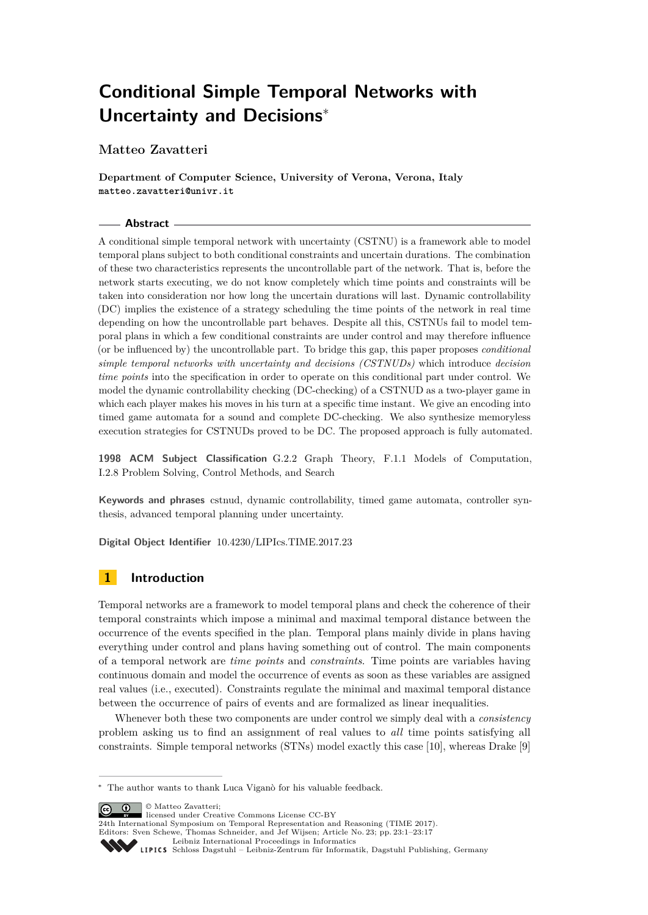# **Conditional Simple Temporal Networks with Uncertainty and Decisions**<sup>∗</sup>

**Matteo Zavatteri**

**Department of Computer Science, University of Verona, Verona, Italy matteo.zavatteri@univr.it**

## **Abstract**

A conditional simple temporal network with uncertainty (CSTNU) is a framework able to model temporal plans subject to both conditional constraints and uncertain durations. The combination of these two characteristics represents the uncontrollable part of the network. That is, before the network starts executing, we do not know completely which time points and constraints will be taken into consideration nor how long the uncertain durations will last. Dynamic controllability (DC) implies the existence of a strategy scheduling the time points of the network in real time depending on how the uncontrollable part behaves. Despite all this, CSTNUs fail to model temporal plans in which a few conditional constraints are under control and may therefore influence (or be influenced by) the uncontrollable part. To bridge this gap, this paper proposes *conditional simple temporal networks with uncertainty and decisions (CSTNUDs)* which introduce *decision time points* into the specification in order to operate on this conditional part under control. We model the dynamic controllability checking (DC-checking) of a CSTNUD as a two-player game in which each player makes his moves in his turn at a specific time instant. We give an encoding into timed game automata for a sound and complete DC-checking. We also synthesize memoryless execution strategies for CSTNUDs proved to be DC. The proposed approach is fully automated.

**1998 ACM Subject Classification** G.2.2 Graph Theory, F.1.1 Models of Computation, I.2.8 Problem Solving, Control Methods, and Search

**Keywords and phrases** cstnud, dynamic controllability, timed game automata, controller synthesis, advanced temporal planning under uncertainty.

**Digital Object Identifier** [10.4230/LIPIcs.TIME.2017.23](http://dx.doi.org/10.4230/LIPIcs.TIME.2017.23)

# **1 Introduction**

Temporal networks are a framework to model temporal plans and check the coherence of their temporal constraints which impose a minimal and maximal temporal distance between the occurrence of the events specified in the plan. Temporal plans mainly divide in plans having everything under control and plans having something out of control. The main components of a temporal network are *time points* and *constraints*. Time points are variables having continuous domain and model the occurrence of events as soon as these variables are assigned real values (i.e., executed). Constraints regulate the minimal and maximal temporal distance between the occurrence of pairs of events and are formalized as linear inequalities.

Whenever both these two components are under control we simply deal with a *consistency* problem asking us to find an assignment of real values to *all* time points satisfying all constraints. Simple temporal networks (STNs) model exactly this case [\[10\]](#page-15-0), whereas Drake [\[9\]](#page-15-1)

 $\boxed{\mathbf{G}}$   $\boxed{\mathbf{0}}$   $\Box$   $\Box$  Matteo Zavatteri:

24th International Symposium on Temporal Representation and Reasoning (TIME 2017). Editors: Sven Schewe, Thomas Schneider, and Jef Wijsen; Article No. 23; pp. 23:1–23[:17](#page-16-0)

[Leibniz International Proceedings in Informatics](http://www.dagstuhl.de/lipics/)

<sup>∗</sup> The author wants to thank Luca Viganò for his valuable feedback.

licensed under Creative Commons License CC-BY

[Schloss Dagstuhl – Leibniz-Zentrum für Informatik, Dagstuhl Publishing, Germany](http://www.dagstuhl.de)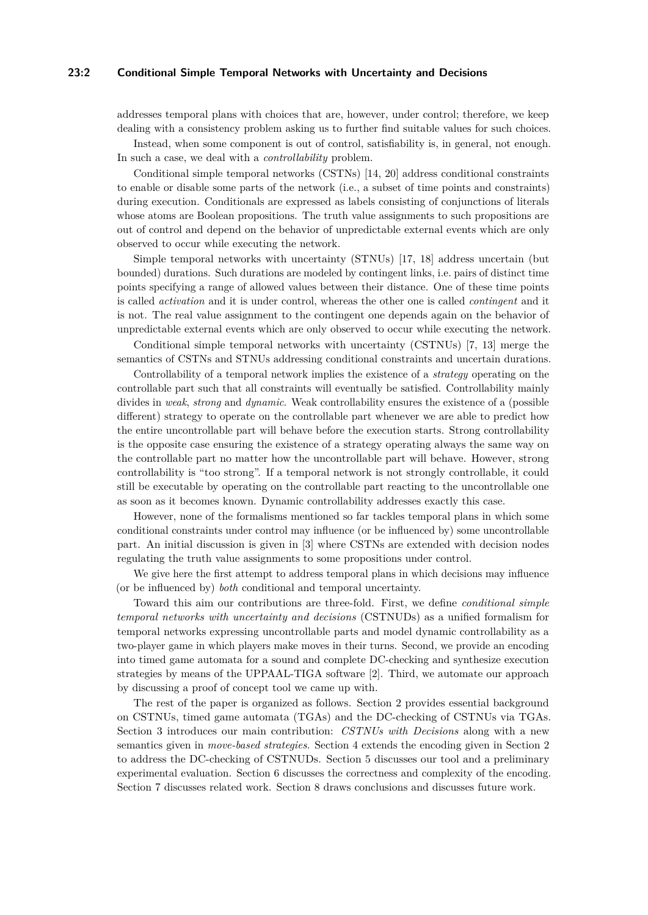## **23:2 Conditional Simple Temporal Networks with Uncertainty and Decisions**

addresses temporal plans with choices that are, however, under control; therefore, we keep dealing with a consistency problem asking us to further find suitable values for such choices.

Instead, when some component is out of control, satisfiability is, in general, not enough. In such a case, we deal with a *controllability* problem.

Conditional simple temporal networks (CSTNs) [\[14,](#page-16-1) [20\]](#page-16-2) address conditional constraints to enable or disable some parts of the network (i.e., a subset of time points and constraints) during execution. Conditionals are expressed as labels consisting of conjunctions of literals whose atoms are Boolean propositions. The truth value assignments to such propositions are out of control and depend on the behavior of unpredictable external events which are only observed to occur while executing the network.

Simple temporal networks with uncertainty (STNUs) [\[17,](#page-16-3) [18\]](#page-16-4) address uncertain (but bounded) durations. Such durations are modeled by contingent links, i.e. pairs of distinct time points specifying a range of allowed values between their distance. One of these time points is called *activation* and it is under control, whereas the other one is called *contingent* and it is not. The real value assignment to the contingent one depends again on the behavior of unpredictable external events which are only observed to occur while executing the network.

Conditional simple temporal networks with uncertainty (CSTNUs) [\[7,](#page-15-2) [13\]](#page-15-3) merge the semantics of CSTNs and STNUs addressing conditional constraints and uncertain durations.

Controllability of a temporal network implies the existence of a *strategy* operating on the controllable part such that all constraints will eventually be satisfied. Controllability mainly divides in *weak*, *strong* and *dynamic*. Weak controllability ensures the existence of a (possible different) strategy to operate on the controllable part whenever we are able to predict how the entire uncontrollable part will behave before the execution starts. Strong controllability is the opposite case ensuring the existence of a strategy operating always the same way on the controllable part no matter how the uncontrollable part will behave. However, strong controllability is "too strong". If a temporal network is not strongly controllable, it could still be executable by operating on the controllable part reacting to the uncontrollable one as soon as it becomes known. Dynamic controllability addresses exactly this case.

However, none of the formalisms mentioned so far tackles temporal plans in which some conditional constraints under control may influence (or be influenced by) some uncontrollable part. An initial discussion is given in [\[3\]](#page-15-4) where CSTNs are extended with decision nodes regulating the truth value assignments to some propositions under control.

We give here the first attempt to address temporal plans in which decisions may influence (or be influenced by) *both* conditional and temporal uncertainty.

Toward this aim our contributions are three-fold. First, we define *conditional simple temporal networks with uncertainty and decisions* (CSTNUDs) as a unified formalism for temporal networks expressing uncontrollable parts and model dynamic controllability as a two-player game in which players make moves in their turns. Second, we provide an encoding into timed game automata for a sound and complete DC-checking and synthesize execution strategies by means of the UPPAAL-TIGA software [\[2\]](#page-15-5). Third, we automate our approach by discussing a proof of concept tool we came up with.

The rest of the paper is organized as follows. [Section 2](#page-2-0) provides essential background on CSTNUs, timed game automata (TGAs) and the DC-checking of CSTNUs via TGAs. [Section 3](#page-5-0) introduces our main contribution: *CSTNUs with Decisions* along with a new semantics given in *move-based strategies*. [Section 4](#page-10-0) extends the encoding given in [Section 2](#page-2-0) to address the DC-checking of CSTNUDs. [Section 5](#page-11-0) discusses our tool and a preliminary experimental evaluation. [Section 6](#page-12-0) discusses the correctness and complexity of the encoding. [Section 7](#page-14-0) discusses related work. [Section 8](#page-14-1) draws conclusions and discusses future work.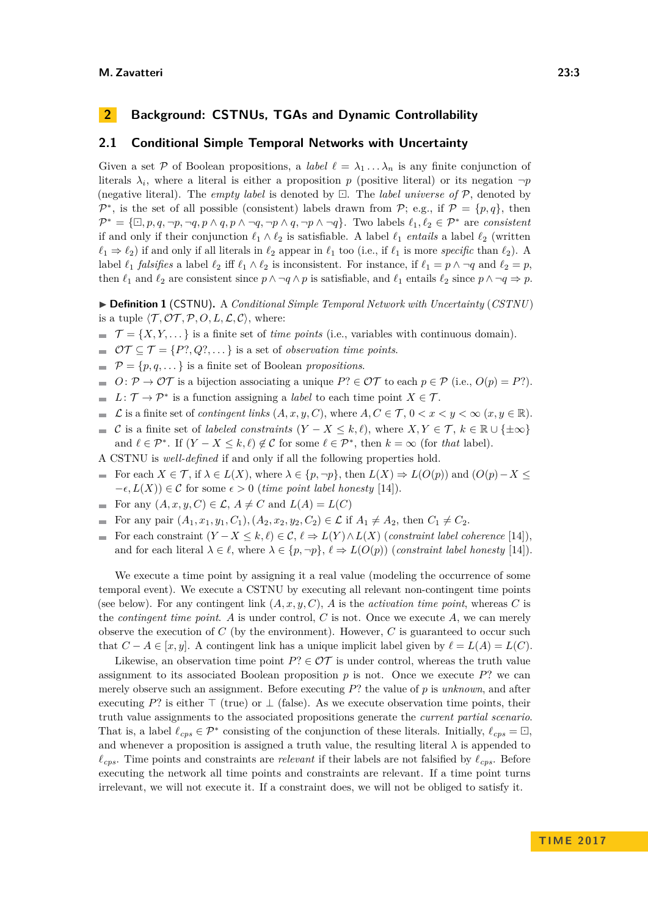# <span id="page-2-0"></span>**2 Background: CSTNUs, TGAs and Dynamic Controllability**

## **2.1 Conditional Simple Temporal Networks with Uncertainty**

Given a set P of Boolean propositions, a *label*  $\ell = \lambda_1 \ldots \lambda_n$  is any finite conjunction of literals  $\lambda_i$ , where a literal is either a proposition *p* (positive literal) or its negation  $\neg p$ (negative literal). The *empty label* is denoted by  $\Box$ . The *label universe of*  $\mathcal{P}$ , denoted by  $\mathcal{P}^*$ , is the set of all possible (consistent) labels drawn from  $\mathcal{P}$ ; e.g., if  $\mathcal{P} = \{p, q\}$ , then  $\mathcal{P}^* = \{\Box, p, q, \neg p, \neg q, p \land q, p \land \neg q, \neg p \land q, \neg p \land \neg q\}.$  Two labels  $\ell_1, \ell_2 \in \mathcal{P}^*$  are *consistent* if and only if their conjunction  $\ell_1 \wedge \ell_2$  is satisfiable. A label  $\ell_1$  *entails* a label  $\ell_2$  (written  $\ell_1 \Rightarrow \ell_2$  if and only if all literals in  $\ell_2$  appear in  $\ell_1$  too (i.e., if  $\ell_1$  is more *specific* than  $\ell_2$ ). A label  $\ell_1$  *falsifies* a label  $\ell_2$  iff  $\ell_1 \wedge \ell_2$  is inconsistent. For instance, if  $\ell_1 = p \wedge \neg q$  and  $\ell_2 = p$ , then  $\ell_1$  and  $\ell_2$  are consistent since  $p \land \neg q \land p$  is satisfiable, and  $\ell_1$  entails  $\ell_2$  since  $p \land \neg q \Rightarrow p$ .

I **Definition 1** (CSTNU)**.** A *Conditional Simple Temporal Network with Uncertainty* (*CSTNU*) is a tuple  $\langle \mathcal{T}, \mathcal{OT}, \mathcal{P}, O, L, \mathcal{L}, \mathcal{C} \rangle$ , where:

 $\mathcal{T} = \{X, Y, \dots\}$  is a finite set of *time points* (i.e., variables with continuous domain).

 $\mathcal{OT} \subseteq \mathcal{T} = \{P^?, Q^?, \dots\}$  is a set of *observation time points.* 

- $\mathcal{P} = \{p, q, ...\}$  is a finite set of Boolean *propositions*.
- $O: \mathcal{P} \to \mathcal{O}\mathcal{T}$  is a bijection associating a unique  $P? \in \mathcal{O}\mathcal{T}$  to each  $p \in \mathcal{P}$  (i.e.,  $O(p) = P?$ ).
- $L: \mathcal{T} \to \mathcal{P}^*$  is a function assigning a *label* to each time point  $X \in \mathcal{T}$ .  $\blacksquare$
- L is a finite set of *contingent links*  $(A, x, y, C)$ , where  $A, C \in \mathcal{T}$ ,  $0 < x < y < \infty$   $(x, y \in \mathbb{R})$ .  $\sim$
- C is a finite set of *labeled constraints*  $(Y X \leq k, \ell)$ , where  $X, Y \in \mathcal{T}$ ,  $k \in \mathbb{R} \cup \{\pm \infty\}$ and  $\ell \in \mathcal{P}^*$ . If  $(Y - X \leq k, \ell) \notin \mathcal{C}$  for some  $\ell \in \mathcal{P}^*$ , then  $k = \infty$  (for *that* label).
- A CSTNU is *well-defined* if and only if all the following properties hold.
- For each  $X \in \mathcal{T}$ , if  $\lambda \in L(X)$ , where  $\lambda \in \{p, \neg p\}$ , then  $L(X) \Rightarrow L(O(p))$  and  $(O(p) X \leq$  $-\epsilon, L(X)$ ) ∈ C for some  $\epsilon > 0$  (*time point label honesty* [\[14\]](#page-16-1)).
- For any  $(A, x, y, C) \in \mathcal{L}, A \neq C$  and  $L(A) = L(C)$
- For any pair  $(A_1, x_1, y_1, C_1), (A_2, x_2, y_2, C_2) \in \mathcal{L}$  if  $A_1 \neq A_2$ , then  $C_1 \neq C_2$ .
- For each constraint  $(Y X \leq k, \ell) \in \mathcal{C}, \ell \Rightarrow L(Y) \wedge L(X)$  (*constraint label coherence* [\[14\]](#page-16-1)),  $\overline{\phantom{a}}$ and for each literal  $\lambda \in \ell$ , where  $\lambda \in \{p, \neg p\}$ ,  $\ell \Rightarrow L(O(p))$  (*constraint label honesty* [\[14\]](#page-16-1)).

We execute a time point by assigning it a real value (modeling the occurrence of some temporal event). We execute a CSTNU by executing all relevant non-contingent time points (see below). For any contingent link  $(A, x, y, C)$ , *A* is the *activation time point*, whereas *C* is the *contingent time point*. *A* is under control, *C* is not. Once we execute *A*, we can merely observe the execution of *C* (by the environment). However, *C* is guaranteed to occur such that  $C - A \in [x, y]$ . A contingent link has a unique implicit label given by  $\ell = L(A) = L(C)$ .

Likewise, an observation time point  $P? \in \mathcal{OT}$  is under control, whereas the truth value assignment to its associated Boolean proposition  $p$  is not. Once we execute  $P$ ? we can merely observe such an assignment. Before executing *P*? the value of *p* is *unknown*, and after executing *P*? is either  $\top$  (true) or  $\bot$  (false). As we execute observation time points, their truth value assignments to the associated propositions generate the *current partial scenario*. That is, a label  $\ell_{cps} \in \mathcal{P}^*$  consisting of the conjunction of these literals. Initially,  $\ell_{cps} = \Box$ , and whenever a proposition is assigned a truth value, the resulting literal  $\lambda$  is appended to  $\ell_{cps}$ . Time points and constraints are *relevant* if their labels are not falsified by  $\ell_{cps}$ . Before executing the network all time points and constraints are relevant. If a time point turns irrelevant, we will not execute it. If a constraint does, we will not be obliged to satisfy it.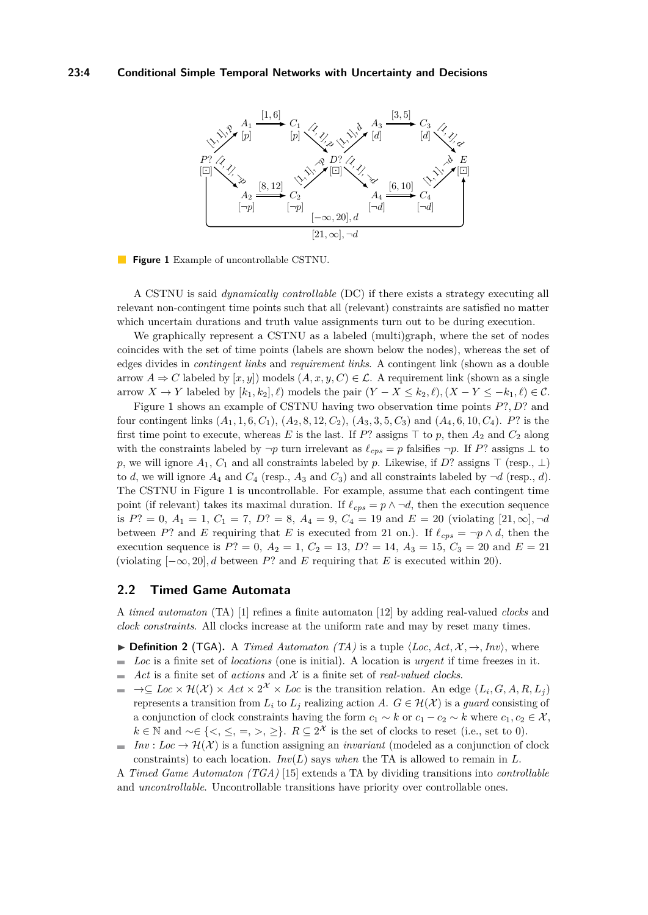## <span id="page-3-0"></span>**23:4 Conditional Simple Temporal Networks with Uncertainty and Decisions**





A CSTNU is said *dynamically controllable* (DC) if there exists a strategy executing all relevant non-contingent time points such that all (relevant) constraints are satisfied no matter which uncertain durations and truth value assignments turn out to be during execution.

We graphically represent a CSTNU as a labeled (multi)graph, where the set of nodes coincides with the set of time points (labels are shown below the nodes), whereas the set of edges divides in *contingent links* and *requirement links*. A contingent link (shown as a double arrow  $A \Rightarrow C$  labeled by  $[x, y]$ ) models  $(A, x, y, C) \in \mathcal{L}$ . A requirement link (shown as a single arrow *X* → *Y* labeled by  $[k_1, k_2], \ell$ ) models the pair  $(Y - X \le k_2, \ell), (X - Y \le -k_1, \ell) \in \mathcal{C}$ .

[Figure 1](#page-3-0) shows an example of CSTNU having two observation time points *P*?*, D*? and four contingent links (*A*1*,* 1*,* 6*, C*1), (*A*2*,* 8*,* 12*, C*2), (*A*3*,* 3*,* 5*, C*3) and (*A*4*,* 6*,* 10*, C*4). *P*? is the first time point to execute, whereas *E* is the last. If *P*? assigns  $\top$  to *p*, then  $A_2$  and  $C_2$  along with the constraints labeled by  $\neg p$  turn irrelevant as  $\ell_{cps} = p$  falsifies  $\neg p$ . If *P*? assigns  $\bot$  to *p*, we will ignore  $A_1$ ,  $C_1$  and all constraints labeled by *p*. Likewise, if *D*? assigns  $\top$  (resp.,  $\bot$ ) to *d*, we will ignore  $A_4$  and  $C_4$  (resp.,  $A_3$  and  $C_3$ ) and all constraints labeled by  $\neg d$  (resp., *d*). The CSTNU in [Figure 1](#page-3-0) is uncontrollable. For example, assume that each contingent time point (if relevant) takes its maximal duration. If  $\ell_{cps} = p \land \neg d$ , then the execution sequence is  $P$ ? = 0,  $A_1 = 1$ ,  $C_1 = 7$ ,  $D$ ? = 8,  $A_4 = 9$ ,  $C_4 = 19$  and  $E = 20$  (violating [21,  $\infty$ ]*,*  $\neg d$ between *P*? and *E* requiring that *E* is executed from 21 on.). If  $\ell_{cps} = \neg p \wedge d$ , then the execution sequence is  $P$ ? = 0,  $A_2$  = 1,  $C_2$  = 13,  $D$ ? = 14,  $A_3$  = 15,  $C_3$  = 20 and  $E$  = 21 (violating  $[-\infty, 20]$ , *d* between *P*? and *E* requiring that *E* is executed within 20).

## **2.2 Timed Game Automata**

A *timed automaton* (TA) [\[1\]](#page-15-6) refines a finite automaton [\[12\]](#page-15-7) by adding real-valued *clocks* and *clock constraints*. All clocks increase at the uniform rate and may by reset many times.

- $\triangleright$  **Definition 2** (TGA). A *Timed Automaton (TA)* is a tuple  $\langle Loc, Act, \mathcal{X}, \rightarrow, Inv \rangle$ , where
- $\overline{a}$ *Loc* is a finite set of *locations* (one is initial). A location is *urgent* if time freezes in it.
- Act is a finite set of *actions* and  $X$  is a finite set of *real-valued clocks*.  $\overline{\phantom{a}}$
- $\to \subseteq Loc \times \mathcal{H}(\mathcal{X}) \times Act \times 2^{\mathcal{X}} \times Loc$  is the transition relation. An edge  $(L_i, G, A, R, L_j)$ ÷. represents a transition from  $L_i$  to  $L_j$  realizing action *A*.  $G \in \mathcal{H}(\mathcal{X})$  is a *guard* consisting of a conjunction of clock constraints having the form  $c_1 \sim k$  or  $c_1 - c_2 \sim k$  where  $c_1, c_2 \in \mathcal{X}$ , *k* ∈ N and ~∈ {<, ≤, =, >, ≥}.  $R \subseteq 2^{\mathcal{X}}$  is the set of clocks to reset (i.e., set to 0).
- *Inv* : *Loc*  $\rightarrow \mathcal{H}(\mathcal{X})$  is a function assigning an *invariant* (modeled as a conjunction of clock  $\blacksquare$ constraints) to each location. *Inv*( $L$ ) says *when* the TA is allowed to remain in  $L$ .

A *Timed Game Automaton (TGA)* [\[15\]](#page-16-5) extends a TA by dividing transitions into *controllable* and *uncontrollable*. Uncontrollable transitions have priority over controllable ones.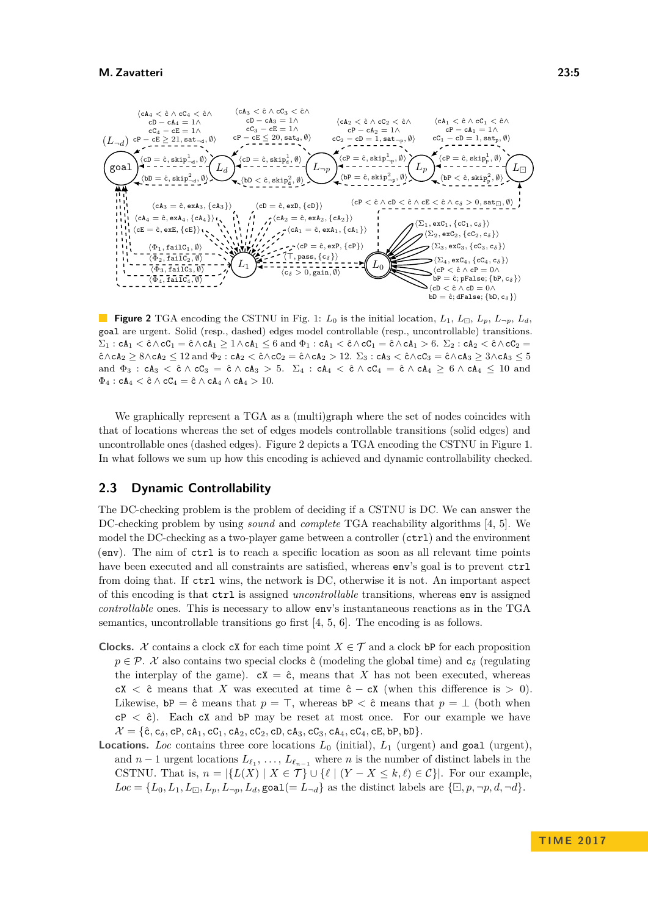<span id="page-4-0"></span>

**Figure 2** TGA encoding the CSTNU in Fig. [1:](#page-3-0)  $L_0$  is the initial location,  $L_1$ ,  $L_{\Box}$ ,  $L_p$ ,  $L_{\neg p}$ ,  $L_d$ goal are urgent. Solid (resp., dashed) edges model controllable (resp., uncontrollable) transitions.  $\Sigma_1$  : cA<sub>1</sub>  $\lt$  ĉ $\wedge$ cC<sub>1</sub> = ĉ $\wedge$ cA<sub>1</sub>  $\geq$  1 $\wedge$ cA<sub>1</sub>  $\leq$  6 and  $\Phi_1$  : cA<sub>1</sub>  $\lt$  ĉ $\wedge$ cC<sub>1</sub> = ĉ $\wedge$ cA<sub>1</sub>  $>$  6.  $\Sigma_2$  : cA<sub>2</sub>  $\lt$  ĉ $\wedge$ cC<sub>2</sub> =  $\hat{c} \wedge cA_2 \ge 8 \wedge cA_2 \le 12$  and  $\Phi_2 : cA_2 < \hat{c} \wedge cC_2 = \hat{c} \wedge cA_2 > 12$ .  $\Sigma_3 : cA_3 < \hat{c} \wedge cC_3 = \hat{c} \wedge cA_3 \ge 3 \wedge cA_3 \le 5$ and  $\Phi_3$  :  $cA_3 < \hat{c} \wedge cC_3 = \hat{c} \wedge cA_3 > 5$ .  $\Sigma_4$  :  $cA_4 < \hat{c} \wedge cC_4 = \hat{c} \wedge cA_4 \ge 6 \wedge cA_4 \le 10$  and  $\Phi_4$  : cA<sub>4</sub>  $\lt$  ĉ  $\wedge$  cC<sub>4</sub>  $=$  ĉ  $\wedge$  cA<sub>4</sub>  $\wedge$  cA<sub>4</sub>  $> 10$ .

We graphically represent a TGA as a (multi)graph where the set of nodes coincides with that of locations whereas the set of edges models controllable transitions (solid edges) and uncontrollable ones (dashed edges). [Figure 2](#page-4-0) depicts a TGA encoding the CSTNU in [Figure 1.](#page-3-0) In what follows we sum up how this encoding is achieved and dynamic controllability checked.

## **2.3 Dynamic Controllability**

The DC-checking problem is the problem of deciding if a CSTNU is DC. We can answer the DC-checking problem by using *sound* and *complete* TGA reachability algorithms [\[4,](#page-15-8) [5\]](#page-15-9). We model the DC-checking as a two-player game between a controller ( $ctrl$ ) and the environment (env). The aim of ctrl is to reach a specific location as soon as all relevant time points have been executed and all constraints are satisfied, whereas env's goal is to prevent  $\text{ctrl}$ from doing that. If ctrl wins, the network is DC, otherwise it is not. An important aspect of this encoding is that ctrl is assigned *uncontrollable* transitions, whereas env is assigned *controllable* ones. This is necessary to allow env's instantaneous reactions as in the TGA semantics, uncontrollable transitions go first [\[4,](#page-15-8) [5,](#page-15-9) [6\]](#page-15-10). The encoding is as follows.

- **Clocks.** X contains a clock cX for each time point  $X \in \mathcal{T}$  and a clock bP for each proposition  $p \in \mathcal{P}$ . X also contains two special clocks  $\hat{c}$  (modeling the global time) and  $c_{\delta}$  (regulating the interplay of the game).  $cX = \hat{c}$ , means that X has not been executed, whereas  $cX < \hat{c}$  means that *X* was executed at time  $\hat{c} - cX$  (when this difference is  $> 0$ ). Likewise,  $bP = \hat{c}$  means that  $p = \top$ , whereas  $bP < \hat{c}$  means that  $p = \bot$  (both when  $cP < \hat{c}$ ). Each  $cX$  and  $bP$  may be reset at most once. For our example we have  $\mathcal{X} = \{\hat{\mathsf{c}}, \mathsf{c}_{\delta}, \mathsf{c}_{\mathsf{P}}, \mathsf{c}_{\mathsf{A}_1}, \mathsf{c}_{\mathsf{C}_1}, \mathsf{c}_{\mathsf{A}_2}, \mathsf{c}_{\mathsf{C}_2}, \mathsf{c}_{\mathsf{D}}, \mathsf{c}_{\mathsf{A}_3}, \mathsf{c}_{\mathsf{C}_3}, \mathsf{c}_{\mathsf{A}_4}, \mathsf{c}_{\mathsf{C}_4}, \mathsf{c}_{\mathsf{E}}, \mathsf{b}_{\mathsf{P}}, \mathsf{b}_{\mathsf{D}}\}.$
- **Locations.** *Loc* contains three core locations *L*<sup>0</sup> (initial), *L*<sup>1</sup> (urgent) and goal (urgent), and  $n-1$  urgent locations  $L_{\ell_1}, \ldots, L_{\ell_{n-1}}$  where *n* is the number of distinct labels in the CSTNU. That is,  $n = |\{L(X) | X \in \mathcal{T}\}\cup \{\ell | (Y - X \leq k, \ell) \in \mathcal{C}\}|$ . For our example,  $Loc = \{L_0, L_1, L_{\square}, L_p, L_{\neg p}, L_d, \text{goal}(= L_{\neg d}\}$  as the distinct labels are  $\{\square, p, \neg p, d, \neg d\}.$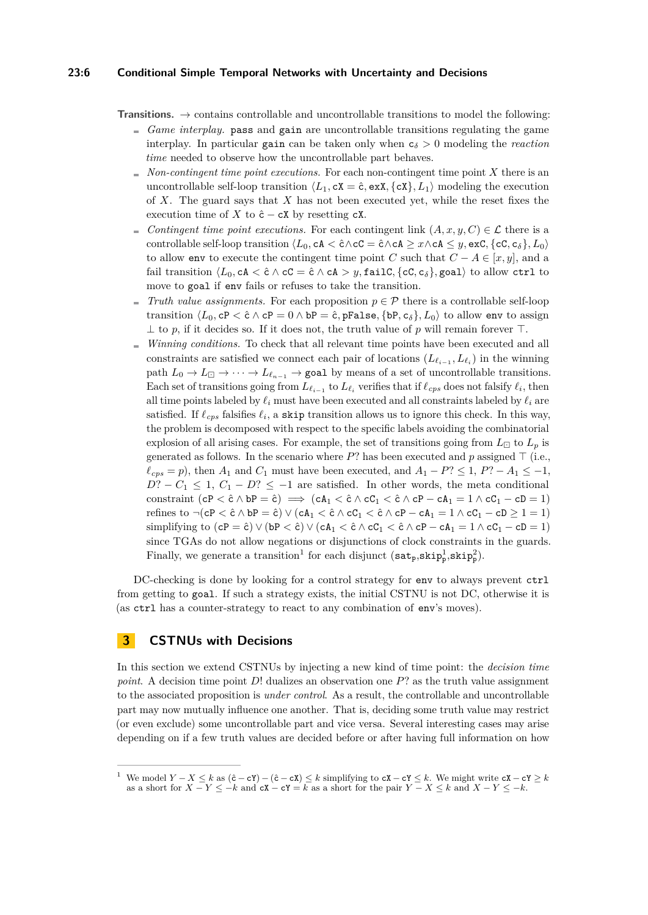## **23:6 Conditional Simple Temporal Networks with Uncertainty and Decisions**

- **Transitions.**  $\rightarrow$  contains controllable and uncontrollable transitions to model the following:
	- *Game interplay.* pass and gain are uncontrollable transitions regulating the game interplay. In particular gain can be taken only when  $c_{\delta} > 0$  modeling the *reaction time* needed to observe how the uncontrollable part behaves.
	- $N$  *Non-contingent time point executions.* For each non-contingent time point  $X$  there is an uncontrollable self-loop transition  $\langle L_1, cX = \hat{c}, \exp\{\langle cX \rangle, L_1\}$  modeling the execution of *X*. The guard says that *X* has not been executed yet, while the reset fixes the execution time of *X* to  $\hat{c}$  − cX by resetting cX.
	- *Contingent time point executions.* For each contingent link  $(A, x, y, C) \in \mathcal{L}$  there is a controllable self-loop transition  $\langle L_0, cA \rangle \langle cC \rangle = \hat{c} \wedge cA \geq x \wedge cA \leq y$ , exC,  $\{cC, c_\delta\}$ ,  $L_0$ ) to allow env to execute the contingent time point *C* such that  $C - A \in [x, y]$ , and a fail transition  $\langle L_0, c \mathbf{A} \rangle \subset \hat{\mathbf{C}} \wedge \mathbf{C} \mathbf{C} = \hat{\mathbf{C}} \wedge \mathbf{C} \mathbf{A} > y$ , failC,  $\{c \mathbf{C}, c \delta\}$ , goal) to allow ctrl to move to goal if env fails or refuses to take the transition.
	- *Truth value assignments.* For each proposition  $p \in \mathcal{P}$  there is a controllable self-loop transition  $\langle L_0, cP \rangle \langle \hat{c} \wedge \hat{c}P = 0 \wedge bP = \hat{c}, pFalse, \{bP, c_\delta\}, L_0 \rangle$  to allow env to assign  $\perp$  to p, if it decides so. If it does not, the truth value of p will remain forever  $\top$ .
	- *Winning conditions.* To check that all relevant time points have been executed and all constraints are satisfied we connect each pair of locations  $(L_{\ell_{i-1}}, L_{\ell_i})$  in the winning path  $L_0 \to L_{\square} \to \cdots \to L_{\ell_{n-1}}$   $\to$  goal by means of a set of uncontrollable transitions. Each set of transitions going from  $L_{\ell_{i-1}}$  to  $L_{\ell_i}$  verifies that if  $\ell_{cps}$  does not falsify  $\ell_i$ , then all time points labeled by  $\ell_i$  must have been executed and all constraints labeled by  $\ell_i$  are satisfied. If  $\ell_{cps}$  falsifies  $\ell_i$ , a skip transition allows us to ignore this check. In this way, the problem is decomposed with respect to the specific labels avoiding the combinatorial explosion of all arising cases. For example, the set of transitions going from  $L_{\Box}$  to  $L_p$  is generated as follows. In the scenario where  $P$ ? has been executed and  $p$  assigned  $\top$  (i.e.,  $\ell_{cps} = p$ , then *A*<sub>1</sub> and *C*<sub>1</sub> must have been executed, and *A*<sub>1</sub> − *P*? ≤ 1, *P*? − *A*<sub>1</sub> ≤ −1,  $D$ ? − *C*<sub>1</sub> ≤ 1, *C*<sub>1</sub> − *D*? ≤ −1 are satisfied. In other words, the meta conditional constraint  $(cP < \hat{c} \land bP = \hat{c}) \implies (cA_1 < \hat{c} \land cC_1 < \hat{c} \land cP - cA_1 = 1 \land cC_1 - cD = 1)$ refines to  $\neg$ (cP <  $\hat{c} \wedge bP = \hat{c}$ )  $\vee$  (cA<sub>1</sub> <  $\hat{c} \wedge cC_1$  <  $\hat{c} \wedge cP - cA_1 = 1 \wedge cC_1 - cD \ge 1 = 1$ ) simplifying to  $(cP = \hat{c}) \vee (bP < \hat{c}) \vee (cA_1 < \hat{c} \wedge cC_1 < \hat{c} \wedge cP - cA_1 = 1 \wedge cC_1 - cD = 1)$ since TGAs do not allow negations or disjunctions of clock constraints in the guards. Finally, we generate a transition<sup>[1](#page-5-1)</sup> for each disjunct  $(sat_p, skip_p^1, skip_p^2)$ .

DC-checking is done by looking for a control strategy for env to always prevent  $\text{ctrl}$ from getting to goal. If such a strategy exists, the initial CSTNU is not DC, otherwise it is (as ctrl has a counter-strategy to react to any combination of env's moves).

# <span id="page-5-0"></span>**3 CSTNUs with Decisions**

In this section we extend CSTNUs by injecting a new kind of time point: the *decision time point*. A decision time point *D*! dualizes an observation one *P*? as the truth value assignment to the associated proposition is *under control*. As a result, the controllable and uncontrollable part may now mutually influence one another. That is, deciding some truth value may restrict (or even exclude) some uncontrollable part and vice versa. Several interesting cases may arise depending on if a few truth values are decided before or after having full information on how

<span id="page-5-1"></span><sup>&</sup>lt;sup>1</sup> We model  $Y - X \le k$  as  $(\hat{c} - cY) - (\hat{c} - cX) \le k$  simplifying to  $cX - cY \le k$ . We might write  $cX - cY \ge k$ as a short for  $X - Y \leq -k$  and  $cX - cY = k$  as a short for the pair  $Y - X \leq k$  and  $X - Y \leq -k$ .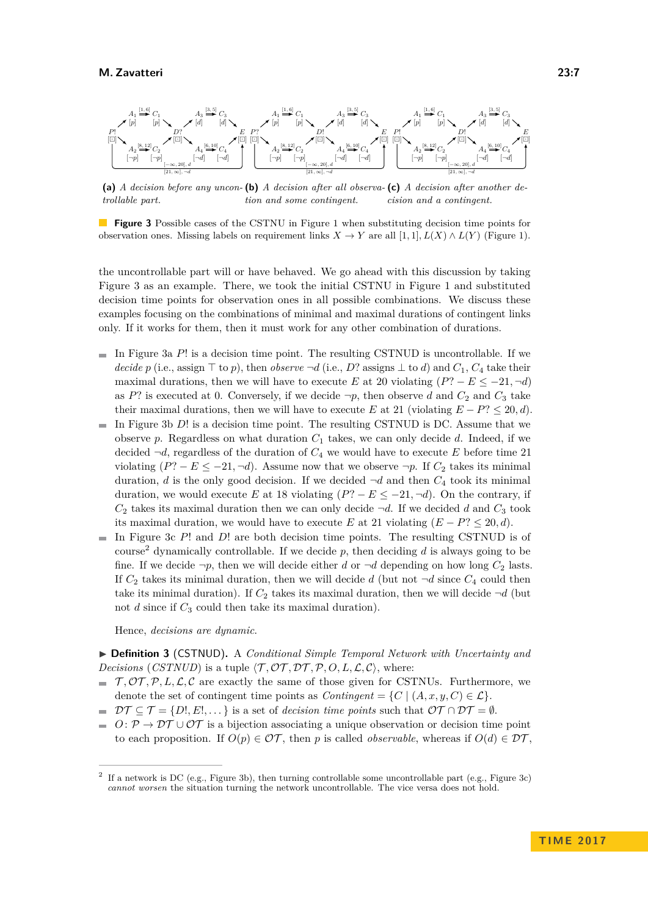<span id="page-6-0"></span>

**(a)** *A decision before any uncon-***(b)** *A decision after all observa-***(c)** *A decision after another detrollable part. tion and some contingent. cision and a contingent.*

**Figure 3** Possible cases of the CSTNU in [Figure 1](#page-3-0) when substituting decision time points for observation ones. Missing labels on requirement links  $X \to Y$  are all  $[1,1], L(X) \wedge L(Y)$  [\(Figure 1\)](#page-3-0).

the uncontrollable part will or have behaved. We go ahead with this discussion by taking [Figure 3](#page-6-0) as an example. There, we took the initial CSTNU in [Figure 1](#page-3-0) and substituted decision time points for observation ones in all possible combinations. We discuss these examples focusing on the combinations of minimal and maximal durations of contingent links only. If it works for them, then it must work for any other combination of durations.

- In [Figure 3a](#page-6-0)  $P!$  is a decision time point. The resulting CSTNUD is uncontrollable. If we *decide p* (i.e., assign  $\top$  to *p*), then *observe*  $\neg d$  (i.e., *D*? assigns  $\bot$  to *d*) and  $C_1$ ,  $C_4$  take their maximal durations, then we will have to execute *E* at 20 violating  $(P^2 - E \le -21, -d)$ as *P*? is executed at 0. Conversely, if we decide  $\neg p$ , then observe *d* and  $C_2$  and  $C_3$  take their maximal durations, then we will have to execute *E* at 21 (violating  $E - P$ ?  $\leq$  20*, d*).
- In [Figure 3b](#page-6-0) *D*! is a decision time point. The resulting CSTNUD is DC. Assume that we observe p. Regardless on what duration  $C_1$  takes, we can only decide d. Indeed, if we decided  $\neg d$ , regardless of the duration of  $C_4$  we would have to execute  $E$  before time 21 violating  $(P? - E \le -21, \neg d)$ . Assume now that we observe  $\neg p$ . If  $C_2$  takes its minimal duration, *d* is the only good decision. If we decided  $\neg d$  and then  $C_4$  took its minimal duration, we would execute *E* at 18 violating  $(P^? - E \le -21, \neg d)$ . On the contrary, if  $C_2$  takes its maximal duration then we can only decide  $\neg d$ . If we decided *d* and  $C_3$  took its maximal duration, we would have to execute *E* at 21 violating  $(E - P) \leq 20, d$ .
- In [Figure 3c](#page-6-0)  $P!$  and  $D!$  are both decision time points. The resulting CSTNUD is of course<sup>[2](#page-6-1)</sup> dynamically controllable. If we decide  $p$ , then deciding  $d$  is always going to be fine. If we decide  $\neg p$ , then we will decide either *d* or  $\neg d$  depending on how long  $C_2$  lasts. If  $C_2$  takes its minimal duration, then we will decide *d* (but not  $\neg d$  since  $C_4$  could then take its minimal duration). If  $C_2$  takes its maximal duration, then we will decide  $\neg d$  (but not *d* since if *C*<sup>3</sup> could then take its maximal duration).

Hence, *decisions are dynamic*.

▶ **Definition 3** (CSTNUD). A *Conditional Simple Temporal Network with Uncertainty and Decisions* (*CSTNUD*) is a tuple  $\langle \mathcal{T}, \mathcal{OT}, \mathcal{DT}, \mathcal{P}, O, L, \mathcal{L}, \mathcal{C} \rangle$ , where:

- $\mathcal{T}, \mathcal{OT}, \mathcal{P}, L, \mathcal{L}, \mathcal{C}$  are exactly the same of those given for CSTNUs. Furthermore, we denote the set of contingent time points as  $Contingent = \{C \mid (A, x, y, C) \in \mathcal{L}\}.$
- $\mathcal{D}\mathcal{T} \subseteq \mathcal{T} = \{D!, E!, \dots\}$  is a set of *decision time points* such that  $\mathcal{O}\mathcal{T} \cap \mathcal{D}\mathcal{T} = \emptyset$ .  $\rightarrow$
- $O: \mathcal{P} \to \mathcal{D}\mathcal{T} \cup \mathcal{O}\mathcal{T}$  is a bijection associating a unique observation or decision time point  $\equiv$ to each proposition. If  $O(p) \in \mathcal{OT}$ , then p is called *observable*, whereas if  $O(d) \in \mathcal{DT}$ ,

<span id="page-6-1"></span><sup>2</sup> If a network is DC (e.g., [Figure 3b\)](#page-6-0), then turning controllable some uncontrollable part (e.g., [Figure 3c\)](#page-6-0) *cannot worsen* the situation turning the network uncontrollable. The vice versa does not hold.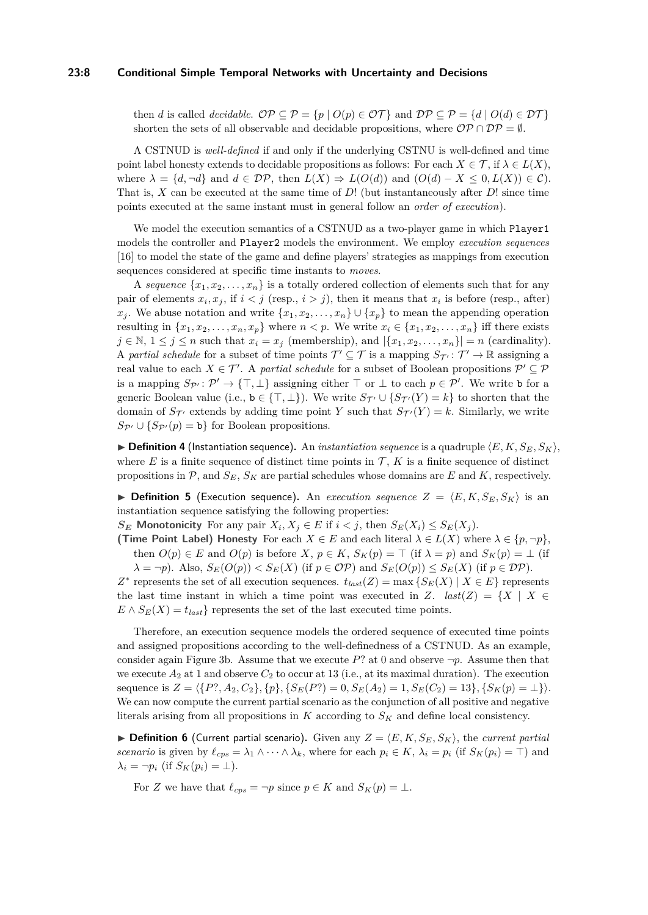#### **23:8 Conditional Simple Temporal Networks with Uncertainty and Decisions**

then *d* is called *decidable.*  $\mathcal{OP} \subseteq \mathcal{P} = \{p \mid O(p) \in \mathcal{OT}\}\$  and  $\mathcal{DP} \subseteq \mathcal{P} = \{d \mid O(d) \in \mathcal{DT}\}\$ shorten the sets of all observable and decidable propositions, where  $\mathcal{OP} \cap \mathcal{DP} = \emptyset$ .

A CSTNUD is *well-defined* if and only if the underlying CSTNU is well-defined and time point label honesty extends to decidable propositions as follows: For each  $X \in \mathcal{T}$ , if  $\lambda \in L(X)$ , where  $\lambda = \{d, \neg d\}$  and  $d \in \mathcal{DP}$ , then  $L(X) \Rightarrow L(O(d))$  and  $(O(d) - X \leq 0, L(X)) \in \mathcal{C}$ . That is, *X* can be executed at the same time of *D*! (but instantaneously after *D*! since time points executed at the same instant must in general follow an *order of execution*).

We model the execution semantics of a CSTNUD as a two-player game in which Player1 models the controller and Player2 models the environment. We employ *execution sequences* [\[16\]](#page-16-6) to model the state of the game and define players' strategies as mappings from execution sequences considered at specific time instants to *moves*.

A *sequence*  $\{x_1, x_2, \ldots, x_n\}$  is a totally ordered collection of elements such that for any pair of elements  $x_i, x_j$ , if  $i < j$  (resp.,  $i > j$ ), then it means that  $x_i$  is before (resp., after) *x*<sub>*j*</sub>. We abuse notation and write  $\{x_1, x_2, \ldots, x_n\} \cup \{x_p\}$  to mean the appending operation resulting in  $\{x_1, x_2, \ldots, x_n, x_p\}$  where  $n < p$ . We write  $x_i \in \{x_1, x_2, \ldots, x_n\}$  iff there exists  $j \in \mathbb{N}, 1 \leq j \leq n$  such that  $x_i = x_j$  (membership), and  $|\{x_1, x_2, \ldots, x_n\}| = n$  (cardinality). A *partial schedule* for a subset of time points  $\mathcal{T}' \subseteq \mathcal{T}$  is a mapping  $S_{\mathcal{T}'} : \mathcal{T}' \to \mathbb{R}$  assigning a real value to each  $X \in \mathcal{T}'$ . A *partial schedule* for a subset of Boolean propositions  $\mathcal{P}' \subseteq \mathcal{P}$ is a mapping  $S_{\mathcal{P}'} : \mathcal{P}' \to \{\top, \bot\}$  assigning either  $\top$  or  $\bot$  to each  $p \in \mathcal{P}'$ . We write b for a generic Boolean value (i.e.,  $b \in \{\top, \bot\}$ ). We write  $S_{\mathcal{T}'} \cup \{S_{\mathcal{T}'}(Y) = k\}$  to shorten that the domain of  $S_{\mathcal{T}}$  extends by adding time point *Y* such that  $S_{\mathcal{T}}(Y) = k$ . Similarly, we write  $S_{\mathcal{P}'} \cup \{S_{\mathcal{P}'}(p) = \mathbf{b}\}\$ for Boolean propositions.

 $\triangleright$  **Definition 4** (Instantiation sequence). An *instantiation sequence* is a quadruple  $\langle E, K, S_E, S_K \rangle$ , where  $E$  is a finite sequence of distinct time points in  $\mathcal{T}$ ,  $K$  is a finite sequence of distinct propositions in  $\mathcal{P}$ , and  $S_E$ ,  $S_K$  are partial schedules whose domains are *E* and *K*, respectively.

 $\triangleright$  **Definition 5** (Execution sequence). An *execution sequence*  $Z = \langle E, K, S_E, S_K \rangle$  is an instantiation sequence satisfying the following properties:

*S***E Monotonicity** For any pair  $X_i, X_j \in E$  if  $i < j$ , then  $S_E(X_i) \leq S_E(X_j)$ .

**(Time Point Label) Honesty** For each  $X \in E$  and each literal  $\lambda \in L(X)$  where  $\lambda \in \{p, \neg p\}$ , then  $O(p) \in E$  and  $O(p)$  is before *X*,  $p \in K$ ,  $S_K(p) = \top$  (if  $\lambda = p$ ) and  $S_K(p) = \bot$  (if  $\lambda = \neg p$ . Also,  $S_E(O(p)) < S_E(X)$  (if  $p \in \mathcal{OP}$ ) and  $S_E(O(p)) \leq S_E(X)$  (if  $p \in \mathcal{DP}$ ).

*Z*<sup>∗</sup> represents the set of all execution sequences.  $t_{last}(Z) = \max \{ S_E(X) | X \in E \}$  represents the last time instant in which a time point was executed in *Z*.  $last(Z) = \{X \mid X \in$  $E \wedge S_E(X) = t_{last}$ } represents the set of the last executed time points.

Therefore, an execution sequence models the ordered sequence of executed time points and assigned propositions according to the well-definedness of a CSTNUD. As an example, consider again [Figure 3b.](#page-6-0) Assume that we execute  $P$ ? at 0 and observe  $\neg p$ . Assume then that we execute  $A_2$  at 1 and observe  $C_2$  to occur at 13 (i.e., at its maximal duration). The execution sequence is  $Z = \langle \{P^?, A_2, C_2\}, \{p\}, \{S_E(P^?) = 0, S_E(A_2) = 1, S_E(C_2) = 13\}, \{S_K(p) = \perp\} \rangle$ . We can now compute the current partial scenario as the conjunction of all positive and negative literals arising from all propositions in *K* according to *S<sup>K</sup>* and define local consistency.

**If Definition 6** (Current partial scenario). Given any  $Z = \langle E, K, S_E, S_K \rangle$ , the *current partial scenario* is given by  $\ell_{cps} = \lambda_1 \wedge \cdots \wedge \lambda_k$ , where for each  $p_i \in K$ ,  $\lambda_i = p_i$  (if  $S_K(p_i) = \top$ ) and  $\lambda_i = \neg p_i$  (if  $S_K(p_i) = \perp$ ).

For *Z* we have that  $\ell_{cps} = \neg p$  since  $p \in K$  and  $S_K(p) = \bot$ .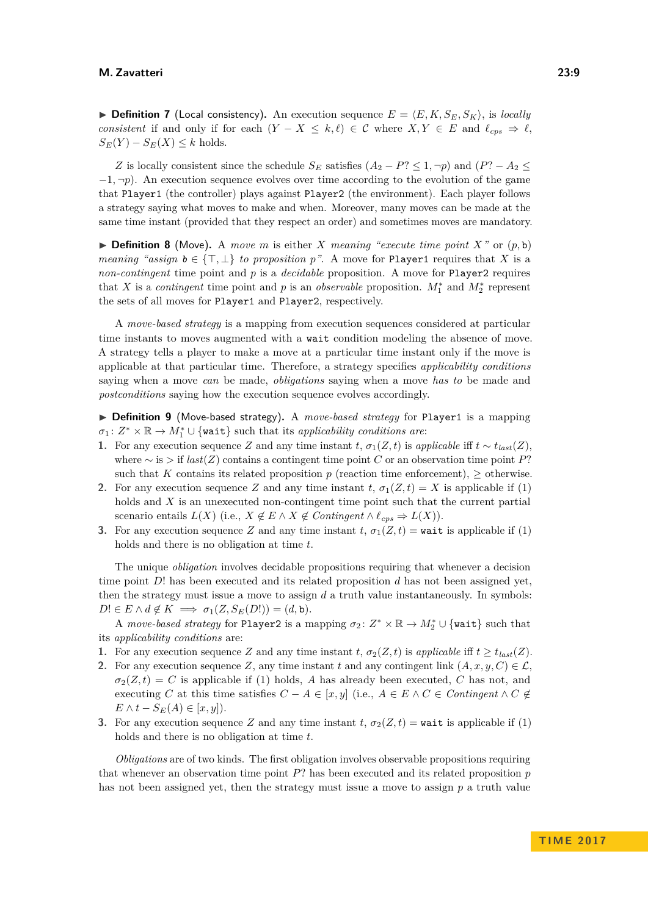$\triangleright$  **Definition 7** (Local consistency). An execution sequence  $E = \langle E, K, S_E, S_K \rangle$ , is *locally consistent* if and only if for each  $(Y - X \leq k, \ell) \in \mathcal{C}$  where  $X, Y \in E$  and  $\ell_{cps} \Rightarrow \ell$ ,  $S_E(Y) - S_E(X) \leq k$  holds.

*Z* is locally consistent since the schedule  $S_E$  satisfies  $(A_2 - P \leq 1, \neg p)$  and  $(P \geq A_2 \leq$ −1*,* ¬*p*). An execution sequence evolves over time according to the evolution of the game that Player1 (the controller) plays against Player2 (the environment). Each player follows a strategy saying what moves to make and when. Moreover, many moves can be made at the same time instant (provided that they respect an order) and sometimes moves are mandatory.

 $\triangleright$  **Definition 8** (Move). A *move m* is either *X meaning "execute time point X*" or  $(p, b)$ *meaning "assign*  $b \in \{\top, \bot\}$  *to proposition p*". A move for Player1 requires that *X* is a *non-contingent* time point and *p* is a *decidable* proposition. A move for Player2 requires that *X* is a *contingent* time point and *p* is an *observable* proposition.  $M_1^*$  and  $M_2^*$  represent the sets of all moves for Player1 and Player2, respectively.

A *move-based strategy* is a mapping from execution sequences considered at particular time instants to moves augmented with a wait condition modeling the absence of move. A strategy tells a player to make a move at a particular time instant only if the move is applicable at that particular time. Therefore, a strategy specifies *applicability conditions* saying when a move *can* be made, *obligations* saying when a move *has to* be made and *postconditions* saying how the execution sequence evolves accordingly.

▶ **Definition 9** (Move-based strategy). A *move-based strategy* for Player1 is a mapping  $\sigma_1: Z^* \times \mathbb{R} \to M_1^* \cup \{\text{wait} \}$  such that its *applicability conditions are*:

- **1.** For any execution sequence *Z* and any time instant *t*,  $\sigma_1(Z, t)$  is *applicable* iff  $t \sim t_{last}(Z)$ , where ∼ is *>* if *last*(*Z*) contains a contingent time point *C* or an observation time point *P*? such that *K* contains its related proposition *p* (reaction time enforcement),  $\geq$  otherwise.
- **2.** For any execution sequence *Z* and any time instant  $t$ ,  $\sigma_1(Z,t) = X$  is applicable if (1) holds and *X* is an unexecuted non-contingent time point such that the current partial scenario entails  $L(X)$  (i.e.,  $X \notin E \wedge X \notin Contingent \wedge \ell_{cps} \Rightarrow L(X)$ ).
- **3.** For any execution sequence *Z* and any time instant *t*,  $\sigma_1(Z,t) = \text{wait}$  is applicable if (1) holds and there is no obligation at time *t*.

The unique *obligation* involves decidable propositions requiring that whenever a decision time point *D*! has been executed and its related proposition *d* has not been assigned yet, then the strategy must issue a move to assign  $d$  a truth value instantaneously. In symbols:  $D! \in E \wedge d \notin K \implies \sigma_1(Z, S_E(D!)) = (d, \mathtt{b}).$ 

A *move-based strategy* for Player2 is a mapping  $\sigma_2: Z^* \times \mathbb{R} \to M_2^* \cup \{\text{wait}\}$  such that its *applicability conditions* are:

- **1.** For any execution sequence *Z* and any time instant *t*,  $\sigma_2(Z, t)$  is *applicable* iff  $t \geq t_{last}(Z)$ .
- **2.** For any execution sequence *Z*, any time instant *t* and any contingent link  $(A, x, y, C) \in \mathcal{L}$ .  $\sigma_2(Z,t) = C$  is applicable if (1) holds, *A* has already been executed, *C* has not, and executing *C* at this time satisfies  $C - A \in [x, y]$  (i.e.,  $A \in E \land C \in Contingent \land C \notin$  $E \wedge t - S_E(A) \in [x, y]$ .
- **3.** For any execution sequence *Z* and any time instant  $t$ ,  $\sigma_2(Z,t) = \text{wait}$  is applicable if (1) holds and there is no obligation at time *t*.

*Obligations* are of two kinds. The first obligation involves observable propositions requiring that whenever an observation time point *P*? has been executed and its related proposition *p* has not been assigned yet, then the strategy must issue a move to assign *p* a truth value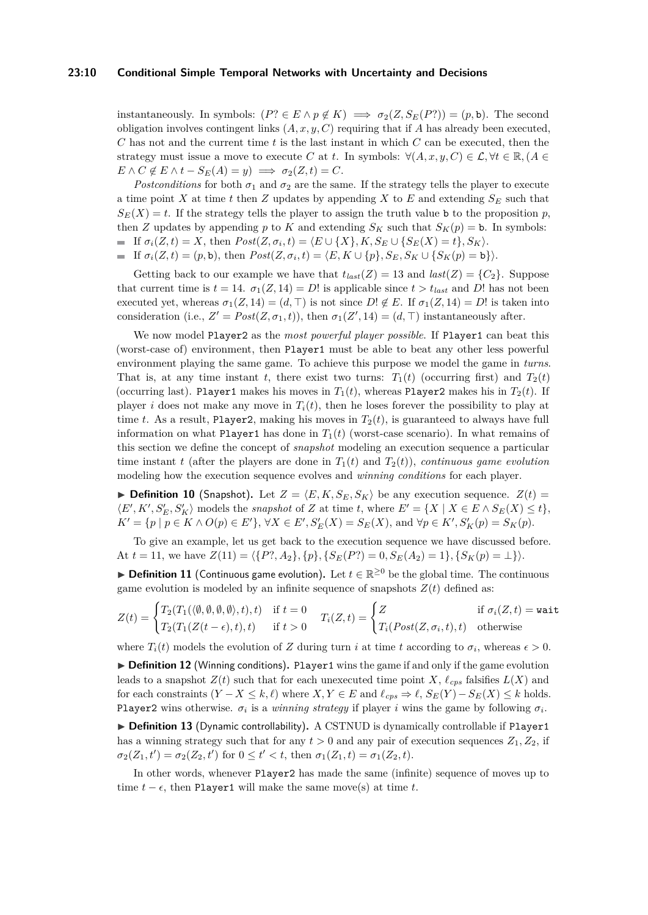#### **23:10 Conditional Simple Temporal Networks with Uncertainty and Decisions**

instantaneously. In symbols:  $(P? \in E \land p \notin K) \implies \sigma_2(Z, S_E(P?)) = (p, \mathbf{b})$ . The second obligation involves contingent links (*A, x, y, C*) requiring that if *A* has already been executed, *C* has not and the current time *t* is the last instant in which *C* can be executed, then the strategy must issue a move to execute *C* at *t*. In symbols:  $\forall (A, x, y, C) \in \mathcal{L}, \forall t \in \mathbb{R}, (A \in \mathcal{L})$  $E \wedge C \notin E \wedge t - S_E(A) = y \implies \sigma_2(Z, t) = C.$ 

*Postconditions* for both  $\sigma_1$  and  $\sigma_2$  are the same. If the strategy tells the player to execute a time point *X* at time *t* then *Z* updates by appending *X* to *E* and extending  $S_E$  such that  $S_E(X) = t$ . If the strategy tells the player to assign the truth value b to the proposition *p*, then *Z* updates by appending *p* to *K* and extending  $S_K$  such that  $S_K(p) = b$ . In symbols: If  $\sigma_i(Z, t) = X$ , then  $Post(Z, \sigma_i, t) = \langle E \cup \{X\}, K, S_E \cup \{S_E(X) = t\}, S_K \rangle$ . If  $\sigma_i(Z, t) = (p, \mathbf{b})$ , then  $Post(Z, \sigma_i, t) = \langle E, K \cup \{p\}, S_E, S_K \cup \{S_K(p) = \mathbf{b}\}\rangle$ .

Getting back to our example we have that  $t_{last}(Z) = 13$  and  $last(Z) = \{C_2\}$ . Suppose that current time is  $t = 14$ .  $\sigma_1(Z, 14) = D!$  is applicable since  $t > t_{last}$  and D! has not been executed yet, whereas  $\sigma_1(Z, 14) = (d, \top)$  is not since  $D! \notin E$ . If  $\sigma_1(Z, 14) = D!$  is taken into consideration (i.e.,  $Z' = Post(Z, \sigma_1, t)$ ), then  $\sigma_1(Z', 14) = (d, \top)$  instantaneously after.

We now model Player2 as the *most powerful player possible*. If Player1 can beat this (worst-case of) environment, then Player1 must be able to beat any other less powerful environment playing the same game. To achieve this purpose we model the game in *turns*. That is, at any time instant *t*, there exist two turns:  $T_1(t)$  (occurring first) and  $T_2(t)$ (occurring last). Player1 makes his moves in  $T_1(t)$ , whereas Player2 makes his in  $T_2(t)$ . If player *i* does not make any move in  $T_i(t)$ , then he loses forever the possibility to play at time *t*. As a result, Player2, making his moves in  $T_2(t)$ , is guaranteed to always have full information on what Player1 has done in  $T_1(t)$  (worst-case scenario). In what remains of this section we define the concept of *snapshot* modeling an execution sequence a particular time instant *t* (after the players are done in  $T_1(t)$  and  $T_2(t)$ ), *continuous game evolution* modeling how the execution sequence evolves and *winning conditions* for each player.

 $\blacktriangleright$  **Definition 10** (Snapshot). Let  $Z = \langle E, K, S_E, S_K \rangle$  be any execution sequence.  $Z(t) =$  $\langle E', K', S'_{E}, S'_{K} \rangle$  models the *snapshot* of *Z* at time *t*, where  $E' = \{ X \mid X \in E \land S_{E}(X) \leq t \},$  $K' = \{p \mid p \in K \land O(p) \in E'\}, \forall X \in E', S'_E(X) = S_E(X)$ , and  $\forall p \in K', S'_K(p) = S_K(p)$ .

To give an example, let us get back to the execution sequence we have discussed before. At  $t = 11$ , we have  $Z(11) = \langle {P}^2, A_2 \rangle, {p}$ ,  ${S_E(P)}^2 = 0, S_E(A_2) = 1}$ ,  ${S_K(p) = \perp}$ .

<span id="page-9-0"></span>**► Definition 11** (Continuous game evolution). Let  $t \in \mathbb{R}^{\geq 0}$  be the global time. The continuous game evolution is modeled by an infinite sequence of snapshots  $Z(t)$  defined as:

$$
Z(t) = \begin{cases} T_2(T_1(\langle \emptyset, \emptyset, \emptyset, \emptyset \rangle, t), t) & \text{if } t = 0 \\ T_2(T_1(Z(t - \epsilon), t), t) & \text{if } t > 0 \end{cases} \quad T_i(Z, t) = \begin{cases} Z & \text{if } \sigma_i(Z, t) = \text{wait} \\ T_i(Post(Z, \sigma_i, t), t) & \text{otherwise} \end{cases}
$$

where  $T_i(t)$  models the evolution of *Z* during turn *i* at time *t* according to  $\sigma_i$ , whereas  $\epsilon > 0$ .

▶ **Definition 12** (Winning conditions). Player1 wins the game if and only if the game evolution leads to a snapshot  $Z(t)$  such that for each unexecuted time point *X*,  $\ell_{cps}$  falsifies  $L(X)$  and for each constraints  $(Y - X \leq k, \ell)$  where  $X, Y \in E$  and  $\ell_{cps} \Rightarrow \ell, S_E(Y) - S_E(X) \leq k$  holds. Player2 wins otherwise.  $\sigma_i$  is a *winning strategy* if player *i* wins the game by following  $\sigma_i$ .

▶ Definition 13 (Dynamic controllability). A CSTNUD is dynamically controllable if Player1 has a winning strategy such that for any  $t > 0$  and any pair of execution sequences  $Z_1, Z_2$ , if  $\sigma_2(Z_1, t') = \sigma_2(Z_2, t')$  for  $0 \le t' < t$ , then  $\sigma_1(Z_1, t) = \sigma_1(Z_2, t)$ .

In other words, whenever Player2 has made the same (infinite) sequence of moves up to time  $t - \epsilon$ , then Player1 will make the same move(s) at time *t*.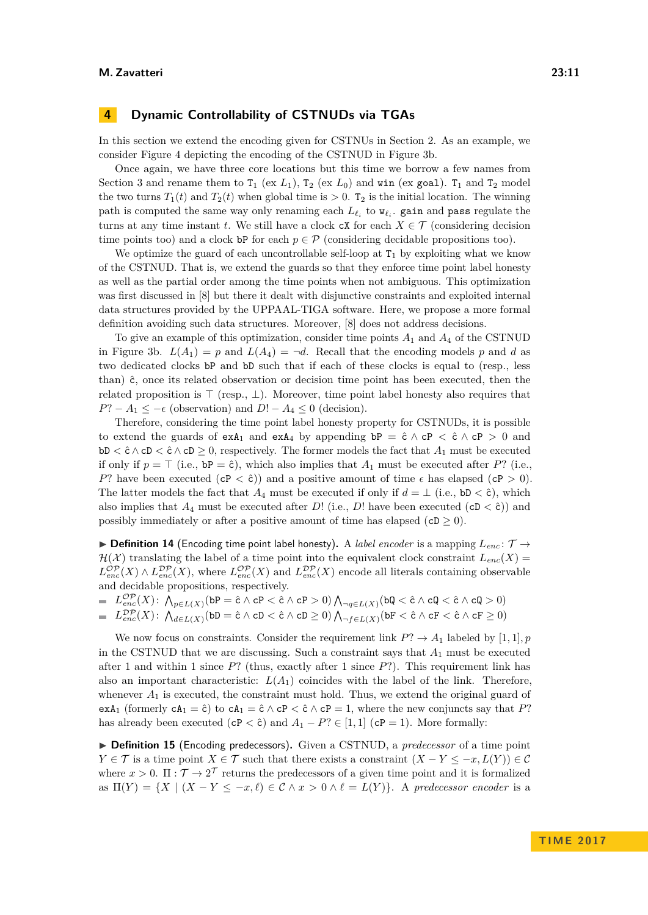## <span id="page-10-0"></span>**4 Dynamic Controllability of CSTNUDs via TGAs**

In this section we extend the encoding given for CSTNUs in [Section 2.](#page-2-0) As an example, we consider [Figure 4](#page-11-1) depicting the encoding of the CSTNUD in [Figure 3b.](#page-6-0)

Once again, we have three core locations but this time we borrow a few names from [Section 3](#page-5-0) and rename them to  $T_1$  (ex  $L_1$ ),  $T_2$  (ex  $L_0$ ) and win (ex goal).  $T_1$  and  $T_2$  model the two turns  $T_1(t)$  and  $T_2(t)$  when global time is  $> 0$ .  $T_2$  is the initial location. The winning path is computed the same way only renaming each  $L_{\ell_i}$  to  $\mathbf{w}_{\ell_i}$ . gain and pass regulate the turns at any time instant *t*. We still have a clock  $\mathsf{c}\mathsf{X}$  for each  $X \in \mathcal{T}$  (considering decision time points too) and a clock bP for each  $p \in \mathcal{P}$  (considering decidable propositions too).

We optimize the guard of each uncontrollable self-loop at  $T_1$  by exploiting what we know of the CSTNUD. That is, we extend the guards so that they enforce time point label honesty as well as the partial order among the time points when not ambiguous. This optimization was first discussed in [\[8\]](#page-15-11) but there it dealt with disjunctive constraints and exploited internal data structures provided by the UPPAAL-TIGA software. Here, we propose a more formal definition avoiding such data structures. Moreover, [\[8\]](#page-15-11) does not address decisions.

To give an example of this optimization, consider time points *A*<sup>1</sup> and *A*<sup>4</sup> of the CSTNUD in [Figure 3b.](#page-6-0)  $L(A_1) = p$  and  $L(A_4) = \neg d$ . Recall that the encoding models p and d as two dedicated clocks bP and bD such that if each of these clocks is equal to (resp., less than)  $\hat{c}$ , once its related observation or decision time point has been executed, then the related proposition is  $\top$  (resp.,  $\bot$ ). Moreover, time point label honesty also requires that  $P$ ? − *A*<sub>1</sub> ≤ −  $\epsilon$  (observation) and *D*! − *A*<sub>4</sub> ≤ 0 (decision).

Therefore, considering the time point label honesty property for CSTNUDs, it is possible to extend the guards of  $exA_1$  and  $exA_4$  by appending  $bP = \hat{c} \wedge cP < \hat{c} \wedge cP > 0$  and  $bD < \hat{c} \wedge cD < \hat{c} \wedge cD > 0$ , respectively. The former models the fact that  $A_1$  must be executed if only if  $p = \top$  (i.e.,  $bP = \hat{c}$ ), which also implies that  $A_1$  must be executed after *P*? (i.e., *P*? have been executed  $(cP < \hat{c})$  and a positive amount of time  $\epsilon$  has elapsed  $(cP > 0)$ . The latter models the fact that  $A_4$  must be executed if only if  $d = \perp$  (i.e., bD < ĉ), which also implies that  $A_4$  must be executed after *D*! (i.e., *D*! have been executed (cD  $\lt$  ĉ)) and possibly immediately or after a positive amount of time has elapsed ( $cD \geq 0$ ).

 $\triangleright$  **Definition 14** (Encoding time point label honesty). A *label encoder* is a mapping  $L_{enc}$ :  $\mathcal{T} \rightarrow$  $\mathcal{H}(\mathcal{X})$  translating the label of a time point into the equivalent clock constraint  $L_{enc}(X)$  $L_{enc}^{\mathcal{OP}}(X) \wedge L_{enc}^{\mathcal{DP}}(X)$ , where  $L_{enc}^{\mathcal{OP}}(X)$  and  $L_{enc}^{\mathcal{DP}}(X)$  encode all literals containing observable and decidable propositions, respectively.

$$
\qquad \qquad =\quad L_{enc}^{\mathcal{OP}}(X)\colon \bigwedge_{p\in L(X)} (\mathrm{b} \mathrm{P} = \hat{\mathrm{c}} \wedge \mathrm{c} \mathrm{P} < \hat{\mathrm{c}} \wedge \mathrm{c} \mathrm{P} > 0) \bigwedge_{\neg q\in L(X)} (\mathrm{b} \mathrm{Q} < \hat{\mathrm{c}} \wedge \mathrm{c} \mathrm{Q} < \hat{\mathrm{c}} \wedge \mathrm{c} \mathrm{Q} > 0)
$$

$$
\quad \ \ \, \mathbb{L}^{D\mathcal{P}}_{enc}(X)\colon \mathop{\text{$\Lambda$}}\nolimits_{d\in L(X)}(\texttt{bD}=\hat{\texttt{c}} \land \texttt{cD} < \hat{\texttt{c}} \land \texttt{cD} \geq 0) \mathop{\text{$\Lambda$}}\nolimits_{\neg f\in L(X)}(\texttt{bF} < \hat{\texttt{c}} \land \texttt{cF} < \hat{\texttt{c}} \land \texttt{cF} \geq 0)
$$

We now focus on constraints. Consider the requirement link  $P? \rightarrow A_1$  labeled by [1, 1]*, p* in the CSTNUD that we are discussing. Such a constraint says that *A*<sup>1</sup> must be executed after 1 and within 1 since *P*? (thus, exactly after 1 since *P*?). This requirement link has also an important characteristic:  $L(A_1)$  coincides with the label of the link. Therefore, whenever  $A_1$  is executed, the constraint must hold. Thus, we extend the original guard of exA<sub>1</sub> (formerly  $cA_1 = \hat{c}$ ) to  $cA_1 = \hat{c} \wedge cP < \hat{c} \wedge cP = 1$ , where the new conjuncts say that P? has already been executed (cP <  $\hat{c}$ ) and  $A_1 - P$ ?  $\in [1, 1]$  (cP = 1). More formally:

▶ **Definition 15** (Encoding predecessors). Given a CSTNUD, a *predecessor* of a time point *Y* ∈ *T* is a time point *X* ∈ *T* such that there exists a constraint  $(X - Y \leq -x, L(Y)) \in \mathcal{C}$ where  $x > 0$ .  $\Pi : \mathcal{T} \to 2^{\mathcal{T}}$  returns the predecessors of a given time point and it is formalized as  $\Pi(Y) = \{ X \mid (X - Y \leq -x, \ell) \in \mathcal{C} \land x > 0 \land \ell = L(Y) \}.$  A predecessor encoder is a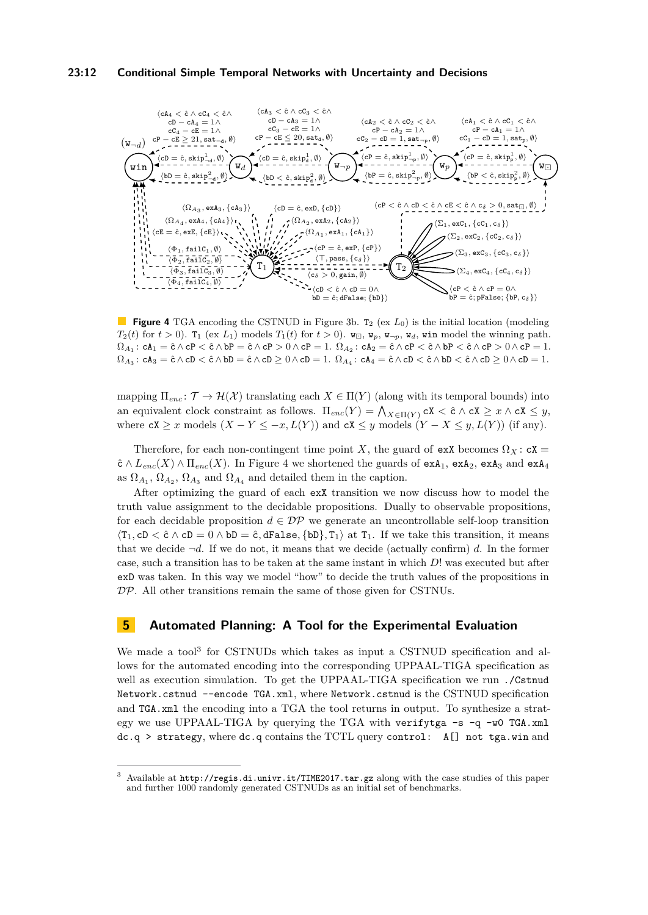#### **23:12 Conditional Simple Temporal Networks with Uncertainty and Decisions**

<span id="page-11-1"></span>

**Figure 4** TGA encoding the CSTNUD in [Figure 3b.](#page-6-0) T<sub>2</sub> (ex  $L_0$ ) is the initial location (modeling *T*<sub>2</sub>(*t*) for *t* > 0). T<sub>1</sub> (ex *L*<sub>1</sub>) models *T*<sub>1</sub>(*t*) for *t* > 0).  $\mathbf{w}_\square$ ,  $\mathbf{w}_p$ ,  $\mathbf{w}_{\square p}$ ,  $\mathbf{w}_d$ , win model the winning path.  $\Omega_{A_1}:$  c $A_1 = \hat{c} \wedge cP < \hat{c} \wedge bP = \hat{c} \wedge cP > 0 \wedge cP = 1.$   $\Omega_{A_2}:$   $cA_2 = \hat{c} \wedge cP < \hat{c} \wedge bP < \hat{c} \wedge cP > 0 \wedge cP = 1.$  $\Omega_{A_3}: \mathsf{c}\mathsf{A}_3 = \hat{\mathsf{c}} \wedge \mathsf{c}\mathsf{D} < \hat{\mathsf{c}} \wedge \mathsf{b}\mathsf{D} = \hat{\mathsf{c}} \wedge \mathsf{c}\mathsf{D} \geq \mathsf{0} \wedge \mathsf{c}\mathsf{D} = 1.$   $\Omega_{A_4}: \mathsf{c}\mathsf{A}_4 = \hat{\mathsf{c}} \wedge \mathsf{c}\mathsf{D} < \hat{\mathsf{c}} \wedge \mathsf{b}\mathsf{D} < \hat{\mathsf{c}} \wedge \mathsf{c}\mathsf{D} \geq \mathsf{0} \wedge \math$ 

mapping  $\Pi_{enc} : \mathcal{T} \to \mathcal{H}(\mathcal{X})$  translating each  $X \in \Pi(Y)$  (along with its temporal bounds) into an equivalent clock constraint as follows.  $\Pi_{enc}(Y) = \bigwedge_{X \in \Pi(Y)} cX < \hat{c} \wedge cX \geq x \wedge cX \leq y$ , where  $cX \geq x$  models  $(X - Y \leq -x, L(Y))$  and  $cX \leq y$  models  $(Y - X \leq y, L(Y))$  (if any).

Therefore, for each non-contingent time point *X*, the guard of exX becomes  $\Omega_X$ :  $cX =$  $\hat{\mathsf{c}} \wedge L_{enc}(X) \wedge \Pi_{enc}(X)$ . In [Figure 4](#page-11-1) we shortened the guards of  $\exp(A_1, \exp(A_2, \exp(A_3)))$  and  $\exp(A_4)$ as  $\Omega_{A_1}, \Omega_{A_2}, \Omega_{A_3}$  and  $\Omega_{A_4}$  and detailed them in the caption.

After optimizing the guard of each exX transition we now discuss how to model the truth value assignment to the decidable propositions. Dually to observable propositions, for each decidable proposition  $d \in \mathcal{DP}$  we generate an uncontrollable self-loop transition  $\langle T_1, cD \rangle \in \hat{c} \wedge cD = 0 \wedge bD = \hat{c}, dFals$ e,  $\{bD\}, T_1 \rangle$  at  $T_1$ . If we take this transition, it means that we decide  $\neg d$ . If we do not, it means that we decide (actually confirm) *d*. In the former case, such a transition has to be taken at the same instant in which *D*! was executed but after exD was taken. In this way we model "how" to decide the truth values of the propositions in DP. All other transitions remain the same of those given for CSTNUs.

# <span id="page-11-0"></span>**5 Automated Planning: A Tool for the Experimental Evaluation**

We made a tool<sup>[3](#page-11-2)</sup> for CSTNUDs which takes as input a CSTNUD specification and allows for the automated encoding into the corresponding UPPAAL-TIGA specification as well as execution simulation. To get the UPPAAL-TIGA specification we run ./Cstnud Network.cstnud --encode TGA.xml, where Network.cstnud is the CSTNUD specification and TGA.xml the encoding into a TGA the tool returns in output. To synthesize a strategy we use UPPAAL-TIGA by querying the TGA with verifytga  $-s -q -w0$  TGA.xml dc.q > strategy, where dc.q contains the TCTL query control: A[] not tga.win and

<span id="page-11-2"></span><sup>3</sup> Available at <http://regis.di.univr.it/TIME2017.tar.gz> along with the case studies of this paper and further 1000 randomly generated CSTNUDs as an initial set of benchmarks.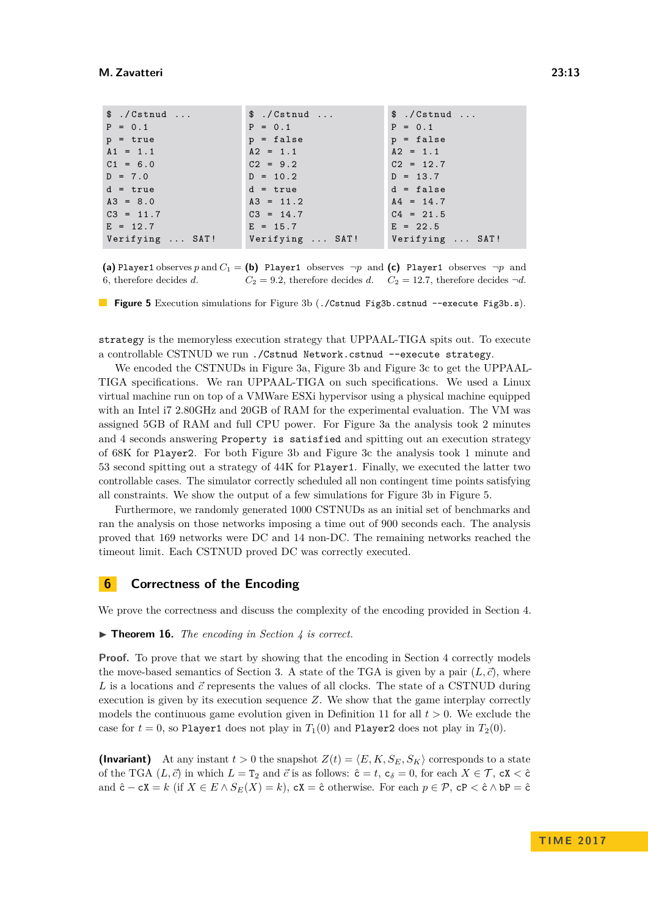<span id="page-12-1"></span>

| \$./Cstnud      | \$./Cstnud      | \$./Cstnud      |
|-----------------|-----------------|-----------------|
| $P = 0.1$       | $P = 0.1$       | $P = 0.1$       |
| $p = true$      | $p = false$     | $p = false$     |
| $A1 = 1.1$      | $A2 = 1.1$      | $A2 = 1.1$      |
| $C1 = 6.0$      | $C2 = 9.2$      | $C2 = 12.7$     |
| $D = 7.0$       | $D = 10.2$      | $D = 13.7$      |
| $d = true$      | $d = true$      | $d = false$     |
| $A3 = 8.0$      | $A3 = 11.2$     | $A4 = 14.7$     |
| $C3 = 11.7$     | $C3 = 14.7$     | $C4 = 21.5$     |
| $E = 12.7$      | $E = 15.7$      | $E = 22.5$      |
| Verifying  SAT! | Verifying  SAT! | Verifying  SAT! |

(a) Player1 observes *p* and  $C_1 =$  (b) Player1 observes  $\neg p$  and (c) Player1 observes  $\neg p$  and 6, therefore decides *d*.  $C_2 = 9.2$ , therefore decides *d*.  $C_2 = 12.7$ , therefore decides  $\neg d$ .

**Figure 5** Execution simulations for [Figure 3b](#page-6-0) (./Cstnud Fig3b.cstnud --execute Fig3b.s).

strategy is the memoryless execution strategy that UPPAAL-TIGA spits out. To execute a controllable CSTNUD we run ./Cstnud Network.cstnud --execute strategy.

We encoded the CSTNUDs in [Figure 3a, Figure 3b](#page-6-0) and [Figure 3c](#page-6-0) to get the UPPAAL-TIGA specifications. We ran UPPAAL-TIGA on such specifications. We used a Linux virtual machine run on top of a VMWare ESXi hypervisor using a physical machine equipped with an Intel i7 2.80GHz and 20GB of RAM for the experimental evaluation. The VM was assigned 5GB of RAM and full CPU power. For [Figure 3a](#page-6-0) the analysis took 2 minutes and 4 seconds answering Property is satisfied and spitting out an execution strategy of 68K for Player2. For both [Figure 3b](#page-6-0) and [Figure 3c](#page-6-0) the analysis took 1 minute and 53 second spitting out a strategy of 44K for Player1. Finally, we executed the latter two controllable cases. The simulator correctly scheduled all non contingent time points satisfying all constraints. We show the output of a few simulations for [Figure 3b](#page-6-0) in [Figure 5.](#page-12-1)

Furthermore, we randomly generated 1000 CSTNUDs as an initial set of benchmarks and ran the analysis on those networks imposing a time out of 900 seconds each. The analysis proved that 169 networks were DC and 14 non-DC. The remaining networks reached the timeout limit. Each CSTNUD proved DC was correctly executed.

## <span id="page-12-0"></span>**6 Correctness of the Encoding**

We prove the correctness and discuss the complexity of the encoding provided in [Section 4.](#page-10-0)

▶ **Theorem 16.** *The encoding in [Section 4](#page-10-0) is correct.* 

**Proof.** To prove that we start by showing that the encoding in [Section 4](#page-10-0) correctly models the move-based semantics of [Section 3.](#page-5-0) A state of the TGA is given by a pair  $(L, \vec{c})$ , where L is a locations and  $\vec{c}$  represents the values of all clocks. The state of a CSTNUD during execution is given by its execution sequence *Z*. We show that the game interplay correctly models the continuous game evolution given in Definition [11](#page-9-0) for all  $t > 0$ . We exclude the case for  $t = 0$ , so Player1 does not play in  $T_1(0)$  and Player2 does not play in  $T_2(0)$ .

**(Invariant)** At any instant  $t > 0$  the snapshot  $Z(t) = \langle E, K, S_E, S_K \rangle$  corresponds to a state of the TGA  $(L, \vec{c})$  in which  $L = T_2$  and  $\vec{c}$  is as follows:  $\hat{c} = t$ ,  $c_{\delta} = 0$ , for each  $X \in \mathcal{T}$ ,  $cX < \hat{c}$ and  $\hat{c} - cX = k$  (if  $X \in E \wedge S_E(X) = k$ ),  $cX = \hat{c}$  otherwise. For each  $p \in \mathcal{P}$ ,  $cP < \hat{c} \wedge bP = \hat{c}$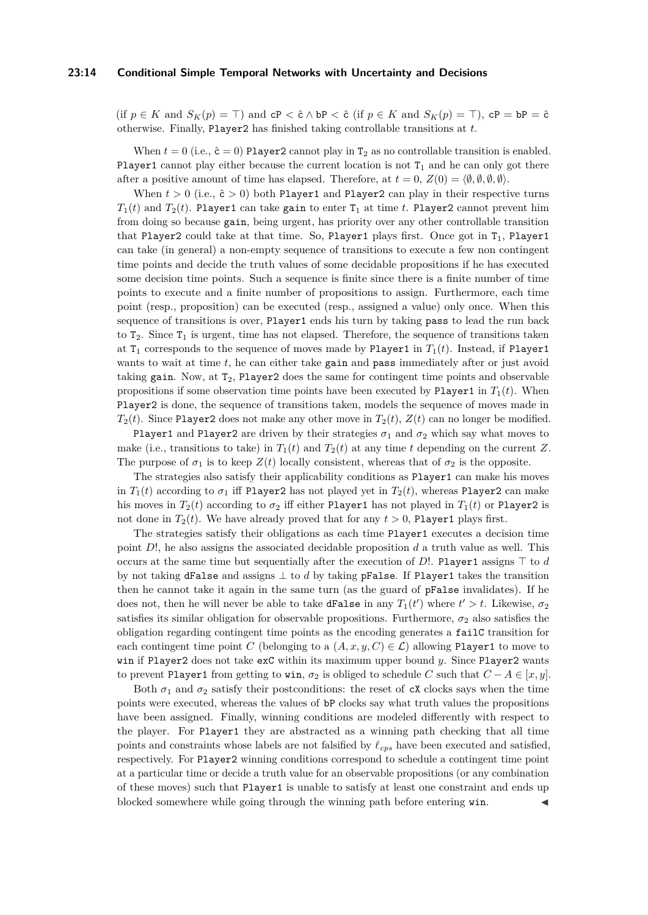#### **23:14 Conditional Simple Temporal Networks with Uncertainty and Decisions**

(if  $p \in K$  and  $S_K(p) = \top$ ) and  $cP < \hat{c} \wedge bP < \hat{c}$  (if  $p \in K$  and  $S_K(p) = \top$ ),  $cP = bP = \hat{c}$ otherwise. Finally, Player2 has finished taking controllable transitions at *t*.

When  $t = 0$  (i.e.,  $\hat{c} = 0$ ) Player2 cannot play in T<sub>2</sub> as no controllable transition is enabled. Player1 cannot play either because the current location is not  $T_1$  and he can only got there after a positive amount of time has elapsed. Therefore, at  $t = 0$ ,  $Z(0) = \langle \emptyset, \emptyset, \emptyset, \emptyset \rangle$ .

When  $t > 0$  (i.e.,  $\hat{c} > 0$ ) both Player1 and Player2 can play in their respective turns  $T_1(t)$  and  $T_2(t)$ . Player1 can take gain to enter  $T_1$  at time *t*. Player2 cannot prevent him from doing so because gain, being urgent, has priority over any other controllable transition that Player2 could take at that time. So, Player1 plays first. Once got in  $T_1$ , Player1 can take (in general) a non-empty sequence of transitions to execute a few non contingent time points and decide the truth values of some decidable propositions if he has executed some decision time points. Such a sequence is finite since there is a finite number of time points to execute and a finite number of propositions to assign. Furthermore, each time point (resp., proposition) can be executed (resp., assigned a value) only once. When this sequence of transitions is over, Player1 ends his turn by taking pass to lead the run back to  $T_2$ . Since  $T_1$  is urgent, time has not elapsed. Therefore, the sequence of transitions taken at  $T_1$  corresponds to the sequence of moves made by Player1 in  $T_1(t)$ . Instead, if Player1 wants to wait at time *t*, he can either take gain and pass immediately after or just avoid taking gain. Now, at  $T_2$ , Player2 does the same for contingent time points and observable propositions if some observation time points have been executed by Player1 in  $T_1(t)$ . When Player2 is done, the sequence of transitions taken, models the sequence of moves made in *T*<sub>2</sub>(*t*). Since Player2 does not make any other move in  $T_2(t)$ ,  $Z(t)$  can no longer be modified.

Player1 and Player2 are driven by their strategies  $\sigma_1$  and  $\sigma_2$  which say what moves to make (i.e., transitions to take) in  $T_1(t)$  and  $T_2(t)$  at any time *t* depending on the current Z. The purpose of  $\sigma_1$  is to keep  $Z(t)$  locally consistent, whereas that of  $\sigma_2$  is the opposite.

The strategies also satisfy their applicability conditions as Player1 can make his moves in  $T_1(t)$  according to  $\sigma_1$  iff Player2 has not played yet in  $T_2(t)$ , whereas Player2 can make his moves in  $T_2(t)$  according to  $\sigma_2$  iff either Player1 has not played in  $T_1(t)$  or Player2 is not done in  $T_2(t)$ . We have already proved that for any  $t > 0$ , Player1 plays first.

The strategies satisfy their obligations as each time Player1 executes a decision time point *D*!, he also assigns the associated decidable proposition *d* a truth value as well. This occurs at the same time but sequentially after the execution of  $D!$ . Player1 assigns  $\top$  to *d* by not taking dFalse and assigns ⊥ to *d* by taking pFalse. If Player1 takes the transition then he cannot take it again in the same turn (as the guard of pFalse invalidates). If he does not, then he will never be able to take dFalse in any  $T_1(t')$  where  $t' > t$ . Likewise,  $\sigma_2$ satisfies its similar obligation for observable propositions. Furthermore,  $\sigma_2$  also satisfies the obligation regarding contingent time points as the encoding generates a failC transition for each contingent time point *C* (belonging to a  $(A, x, y, C) \in \mathcal{L}$ ) allowing Player1 to move to win if Player2 does not take exC within its maximum upper bound *y*. Since Player2 wants to prevent Player1 from getting to win,  $\sigma_2$  is obliged to schedule *C* such that  $C - A \in [x, y]$ .

Both  $\sigma_1$  and  $\sigma_2$  satisfy their postconditions: the reset of cX clocks says when the time points were executed, whereas the values of bP clocks say what truth values the propositions have been assigned. Finally, winning conditions are modeled differently with respect to the player. For Player1 they are abstracted as a winning path checking that all time points and constraints whose labels are not falsified by  $\ell_{cps}$  have been executed and satisfied, respectively. For Player2 winning conditions correspond to schedule a contingent time point at a particular time or decide a truth value for an observable propositions (or any combination of these moves) such that Player1 is unable to satisfy at least one constraint and ends up blocked somewhere while going through the winning path before entering win.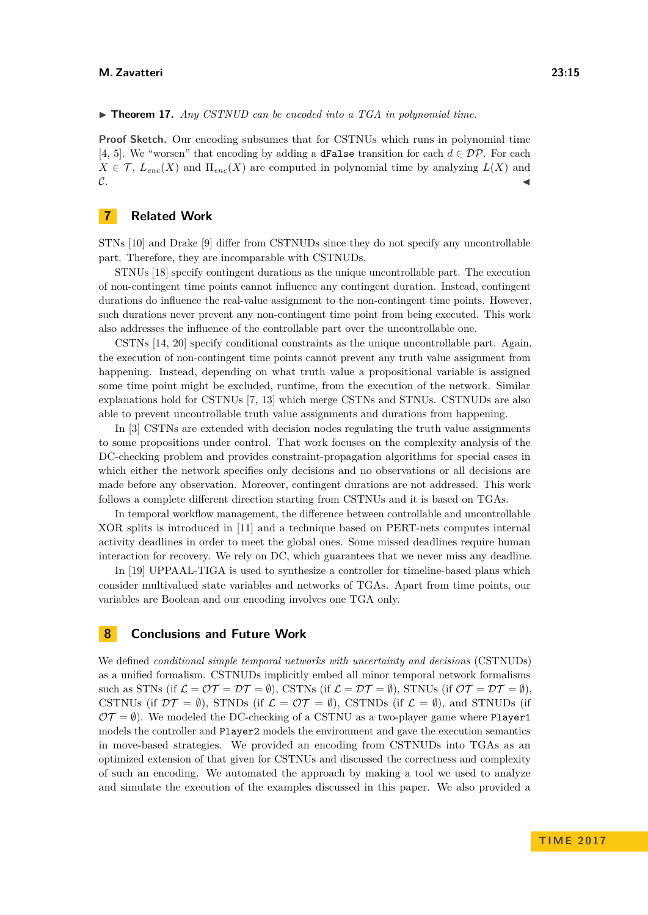#### $\triangleright$  **Theorem 17.** *Any CSTNUD can be encoded into a TGA in polynomial time.*

**Proof Sketch.** Our encoding subsumes that for CSTNUs which runs in polynomial time [\[4,](#page-15-8) [5\]](#page-15-9). We "worsen" that encoding by adding a **dFalse** transition for each  $d \in \mathcal{DP}$ . For each  $X \in \mathcal{T}$ ,  $L_{enc}(X)$  and  $\Pi_{enc}(X)$  are computed in polynomial time by analyzing  $L(X)$  and  $\mathcal{C}$ .

# <span id="page-14-0"></span>**7 Related Work**

STNs [\[10\]](#page-15-0) and Drake [\[9\]](#page-15-1) differ from CSTNUDs since they do not specify any uncontrollable part. Therefore, they are incomparable with CSTNUDs.

STNUs [\[18\]](#page-16-4) specify contingent durations as the unique uncontrollable part. The execution of non-contingent time points cannot influence any contingent duration. Instead, contingent durations do influence the real-value assignment to the non-contingent time points. However, such durations never prevent any non-contingent time point from being executed. This work also addresses the influence of the controllable part over the uncontrollable one.

CSTNs [\[14,](#page-16-1) [20\]](#page-16-2) specify conditional constraints as the unique uncontrollable part. Again, the execution of non-contingent time points cannot prevent any truth value assignment from happening. Instead, depending on what truth value a propositional variable is assigned some time point might be excluded, runtime, from the execution of the network. Similar explanations hold for CSTNUs [\[7,](#page-15-2) [13\]](#page-15-3) which merge CSTNs and STNUs. CSTNUDs are also able to prevent uncontrollable truth value assignments and durations from happening.

In [\[3\]](#page-15-4) CSTNs are extended with decision nodes regulating the truth value assignments to some propositions under control. That work focuses on the complexity analysis of the DC-checking problem and provides constraint-propagation algorithms for special cases in which either the network specifies only decisions and no observations or all decisions are made before any observation. Moreover, contingent durations are not addressed. This work follows a complete different direction starting from CSTNUs and it is based on TGAs.

In temporal workflow management, the difference between controllable and uncontrollable XOR splits is introduced in [\[11\]](#page-15-12) and a technique based on PERT-nets computes internal activity deadlines in order to meet the global ones. Some missed deadlines require human interaction for recovery. We rely on DC, which guarantees that we never miss any deadline.

In [\[19\]](#page-16-7) UPPAAL-TIGA is used to synthesize a controller for timeline-based plans which consider multivalued state variables and networks of TGAs. Apart from time points, our variables are Boolean and our encoding involves one TGA only.

## <span id="page-14-1"></span>**8 Conclusions and Future Work**

We defined *conditional simple temporal networks with uncertainty and decisions* (CSTNUDs) as a unified formalism. CSTNUDs implicitly embed all minor temporal network formalisms such as STNs (if  $\mathcal{L} = \mathcal{OT} = \mathcal{DT} = \emptyset$ ), CSTNs (if  $\mathcal{L} = \mathcal{DT} = \emptyset$ ), STNUs (if  $\mathcal{OT} = \mathcal{DT} = \emptyset$ ). CSTNUs (if  $\mathcal{D}\mathcal{T} = \emptyset$ ), STNDs (if  $\mathcal{L} = \mathcal{O}\mathcal{T} = \emptyset$ ), CSTNDs (if  $\mathcal{L} = \emptyset$ ), and STNUDs (if  $\mathcal{OT} = \emptyset$ ). We modeled the DC-checking of a CSTNU as a two-player game where Player1 models the controller and Player2 models the environment and gave the execution semantics in move-based strategies. We provided an encoding from CSTNUDs into TGAs as an optimized extension of that given for CSTNUs and discussed the correctness and complexity of such an encoding. We automated the approach by making a tool we used to analyze and simulate the execution of the examples discussed in this paper. We also provided a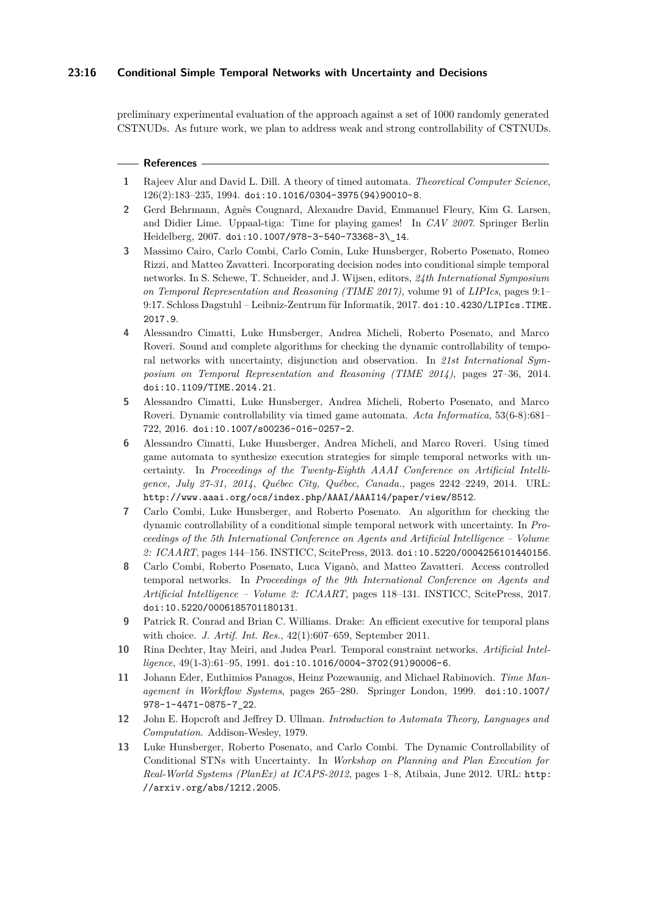## **23:16 Conditional Simple Temporal Networks with Uncertainty and Decisions**

preliminary experimental evaluation of the approach against a set of 1000 randomly generated CSTNUDs. As future work, we plan to address weak and strong controllability of CSTNUDs.

#### **References**

- <span id="page-15-6"></span>**1** Rajeev Alur and David L. Dill. A theory of timed automata. *Theoretical Computer Science*, 126(2):183–235, 1994. [doi:10.1016/0304-3975\(94\)90010-8](http://dx.doi.org/10.1016/0304-3975(94)90010-8).
- <span id="page-15-5"></span>**2** Gerd Behrmann, Agnès Cougnard, Alexandre David, Emmanuel Fleury, Kim G. Larsen, and Didier Lime. Uppaal-tiga: Time for playing games! In *CAV 2007*. Springer Berlin Heidelberg, 2007. [doi:10.1007/978-3-540-73368-3\\\_14](http://dx.doi.org/10.1007/978-3-540-73368-3_14).
- <span id="page-15-4"></span>**3** Massimo Cairo, Carlo Combi, Carlo Comin, Luke Hunsberger, Roberto Posenato, Romeo Rizzi, and Matteo Zavatteri. Incorporating decision nodes into conditional simple temporal networks. In S. Schewe, T. Schneider, and J. Wijsen, editors, *24th International Symposium on Temporal Representation and Reasoning (TIME 2017)*, volume 91 of *LIPIcs*, pages 9:1– 9:17. Schloss Dagstuhl – Leibniz-Zentrum für Informatik, 2017. [doi:10.4230/LIPIcs.TIME.](http://dx.doi.org/10.4230/LIPIcs.TIME.2017.9) [2017.9](http://dx.doi.org/10.4230/LIPIcs.TIME.2017.9).
- <span id="page-15-8"></span>**4** Alessandro Cimatti, Luke Hunsberger, Andrea Micheli, Roberto Posenato, and Marco Roveri. Sound and complete algorithms for checking the dynamic controllability of temporal networks with uncertainty, disjunction and observation. In *21st International Symposium on Temporal Representation and Reasoning (TIME 2014)*, pages 27–36, 2014. [doi:10.1109/TIME.2014.21](http://dx.doi.org/10.1109/TIME.2014.21).
- <span id="page-15-9"></span>**5** Alessandro Cimatti, Luke Hunsberger, Andrea Micheli, Roberto Posenato, and Marco Roveri. Dynamic controllability via timed game automata. *Acta Informatica*, 53(6-8):681– 722, 2016. [doi:10.1007/s00236-016-0257-2](http://dx.doi.org/10.1007/s00236-016-0257-2).
- <span id="page-15-10"></span>**6** Alessandro Cimatti, Luke Hunsberger, Andrea Micheli, and Marco Roveri. Using timed game automata to synthesize execution strategies for simple temporal networks with uncertainty. In *Proceedings of the Twenty-Eighth AAAI Conference on Artificial Intelligence, July 27-31, 2014, Québec City, Québec, Canada.*, pages 2242–2249, 2014. URL: <http://www.aaai.org/ocs/index.php/AAAI/AAAI14/paper/view/8512>.
- <span id="page-15-2"></span>**7** Carlo Combi, Luke Hunsberger, and Roberto Posenato. An algorithm for checking the dynamic controllability of a conditional simple temporal network with uncertainty. In *Proceedings of the 5th International Conference on Agents and Artificial Intelligence – Volume 2: ICAART*, pages 144–156. INSTICC, ScitePress, 2013. [doi:10.5220/0004256101440156](http://dx.doi.org/10.5220/0004256101440156).
- <span id="page-15-11"></span>**8** Carlo Combi, Roberto Posenato, Luca Viganò, and Matteo Zavatteri. Access controlled temporal networks. In *Proceedings of the 9th International Conference on Agents and Artificial Intelligence – Volume 2: ICAART*, pages 118–131. INSTICC, ScitePress, 2017. [doi:10.5220/0006185701180131](http://dx.doi.org/10.5220/0006185701180131).
- <span id="page-15-1"></span>**9** Patrick R. Conrad and Brian C. Williams. Drake: An efficient executive for temporal plans with choice. *J. Artif. Int. Res.*, 42(1):607–659, September 2011.
- <span id="page-15-0"></span>**10** Rina Dechter, Itay Meiri, and Judea Pearl. Temporal constraint networks. *Artificial Intelligence*, 49(1-3):61–95, 1991. [doi:10.1016/0004-3702\(91\)90006-6](http://dx.doi.org/10.1016/0004-3702(91)90006-6).
- <span id="page-15-12"></span>**11** Johann Eder, Euthimios Panagos, Heinz Pozewaunig, and Michael Rabinovich. *Time Management in Workflow Systems*, pages 265–280. Springer London, 1999. [doi:10.1007/](http://dx.doi.org/10.1007/978-1-4471-0875-7_22) [978-1-4471-0875-7\\_22](http://dx.doi.org/10.1007/978-1-4471-0875-7_22).
- <span id="page-15-7"></span>**12** John E. Hopcroft and Jeffrey D. Ullman. *Introduction to Automata Theory, Languages and Computation*. Addison-Wesley, 1979.
- <span id="page-15-3"></span>**13** Luke Hunsberger, Roberto Posenato, and Carlo Combi. The Dynamic Controllability of Conditional STNs with Uncertainty. In *Workshop on Planning and Plan Execution for Real-World Systems (PlanEx) at ICAPS-2012*, pages 1–8, Atibaia, June 2012. URL: [http:](http://arxiv.org/abs/1212.2005) [//arxiv.org/abs/1212.2005](http://arxiv.org/abs/1212.2005).